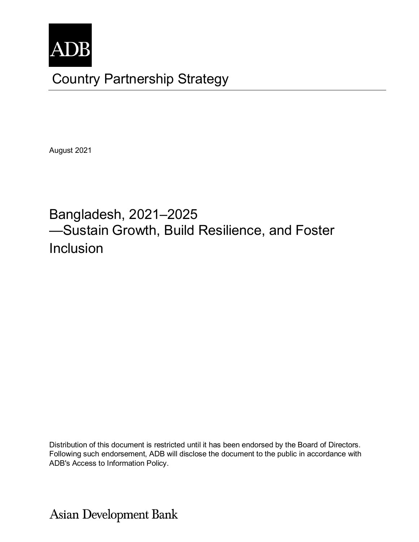

# Country Partnership Strategy

August 2021

# Bangladesh, 2021–2025 —Sustain Growth, Build Resilience, and Foster Inclusion

Distribution of this document is restricted until it has been endorsed by the Board of Directors. Following such endorsement, ADB will disclose the document to the public in accordance with ADB's Access to Information Policy.

**Asian Development Bank**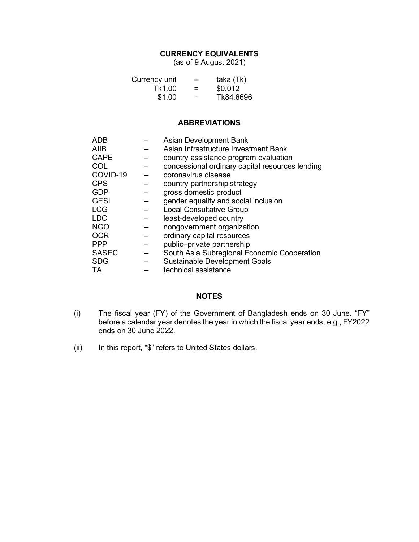# **CURRENCY EQUIVALENTS**

(as of 9 August 2021)

| Currency unit | —   | taka (Tk) |
|---------------|-----|-----------|
| Tk1.00        | $=$ | \$0.012   |
| \$1.00        | =   | Tk84.6696 |

#### **ABBREVIATIONS**

| <b>ADB</b>   | Asian Development Bank                          |
|--------------|-------------------------------------------------|
| <b>AIIB</b>  | Asian Infrastructure Investment Bank            |
| <b>CAPE</b>  | country assistance program evaluation           |
| COL          | concessional ordinary capital resources lending |
| COVID-19     | coronavirus disease                             |
| <b>CPS</b>   | country partnership strategy                    |
| <b>GDP</b>   | gross domestic product                          |
| <b>GESI</b>  | gender equality and social inclusion            |
| <b>LCG</b>   | <b>Local Consultative Group</b>                 |
| <b>LDC</b>   | least-developed country                         |
| <b>NGO</b>   | nongovernment organization                      |
| <b>OCR</b>   | ordinary capital resources                      |
| <b>PPP</b>   | public-private partnership                      |
| <b>SASEC</b> | South Asia Subregional Economic Cooperation     |
| <b>SDG</b>   | <b>Sustainable Development Goals</b>            |
| TA           | technical assistance                            |

#### **NOTES**

- (i) The fiscal year (FY) of the Government of Bangladesh ends on 30 June. "FY" before a calendar year denotes the year in which the fiscal year ends, e.g., FY2022 ends on 30 June 2022.
- (ii) In this report, "\$" refers to United States dollars.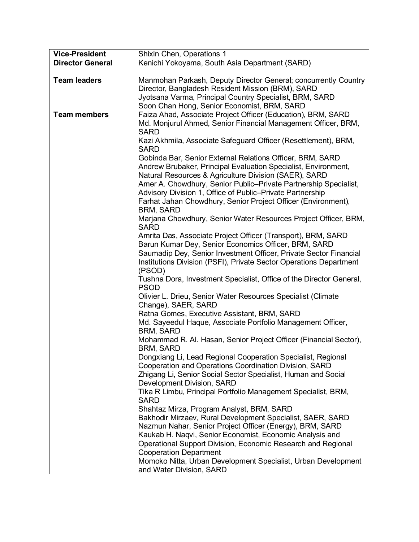| <b>Vice-President</b>   | Shixin Chen, Operations 1                                                    |
|-------------------------|------------------------------------------------------------------------------|
| <b>Director General</b> | Kenichi Yokoyama, South Asia Department (SARD)                               |
|                         |                                                                              |
| <b>Team leaders</b>     | Manmohan Parkash, Deputy Director General; concurrently Country              |
|                         | Director, Bangladesh Resident Mission (BRM), SARD                            |
|                         | Jyotsana Varma, Principal Country Specialist, BRM, SARD                      |
|                         | Soon Chan Hong, Senior Economist, BRM, SARD                                  |
| <b>Team members</b>     | Faiza Ahad, Associate Project Officer (Education), BRM, SARD                 |
|                         | Md. Monjurul Ahmed, Senior Financial Management Officer, BRM,<br><b>SARD</b> |
|                         | Kazi Akhmila, Associate Safeguard Officer (Resettlement), BRM,               |
|                         | <b>SARD</b>                                                                  |
|                         | Gobinda Bar, Senior External Relations Officer, BRM, SARD                    |
|                         | Andrew Brubaker, Principal Evaluation Specialist, Environment,               |
|                         | Natural Resources & Agriculture Division (SAER), SARD                        |
|                         | Amer A. Chowdhury, Senior Public-Private Partnership Specialist,             |
|                         | Advisory Division 1, Office of Public-Private Partnership                    |
|                         | Farhat Jahan Chowdhury, Senior Project Officer (Environment),                |
|                         | <b>BRM, SARD</b>                                                             |
|                         | Marjana Chowdhury, Senior Water Resources Project Officer, BRM,              |
|                         | <b>SARD</b>                                                                  |
|                         | Amrita Das, Associate Project Officer (Transport), BRM, SARD                 |
|                         | Barun Kumar Dey, Senior Economics Officer, BRM, SARD                         |
|                         | Saumadip Dey, Senior Investment Officer, Private Sector Financial            |
|                         | Institutions Division (PSFI), Private Sector Operations Department           |
|                         | (PSOD)                                                                       |
|                         | Tushna Dora, Investment Specialist, Office of the Director General,          |
|                         | <b>PSOD</b>                                                                  |
|                         | Olivier L. Drieu, Senior Water Resources Specialist (Climate                 |
|                         | Change), SAER, SARD                                                          |
|                         | Ratna Gomes, Executive Assistant, BRM, SARD                                  |
|                         | Md. Sayeedul Haque, Associate Portfolio Management Officer,                  |
|                         | <b>BRM, SARD</b>                                                             |
|                         | Mohammad R. Al. Hasan, Senior Project Officer (Financial Sector),            |
|                         | <b>BRM, SARD</b>                                                             |
|                         | Dongxiang Li, Lead Regional Cooperation Specialist, Regional                 |
|                         | Cooperation and Operations Coordination Division, SARD                       |
|                         | Zhigang Li, Senior Social Sector Specialist, Human and Social                |
|                         | Development Division, SARD                                                   |
|                         | Tika R Limbu, Principal Portfolio Management Specialist, BRM,                |
|                         | <b>SARD</b>                                                                  |
|                         | Shahtaz Mirza, Program Analyst, BRM, SARD                                    |
|                         | Bakhodir Mirzaev, Rural Development Specialist, SAER, SARD                   |
|                         | Nazmun Nahar, Senior Project Officer (Energy), BRM, SARD                     |
|                         | Kaukab H. Naqvi, Senior Economist, Economic Analysis and                     |
|                         | Operational Support Division, Economic Research and Regional                 |
|                         | <b>Cooperation Department</b>                                                |
|                         | Momoko Nitta, Urban Development Specialist, Urban Development                |
|                         | and Water Division, SARD                                                     |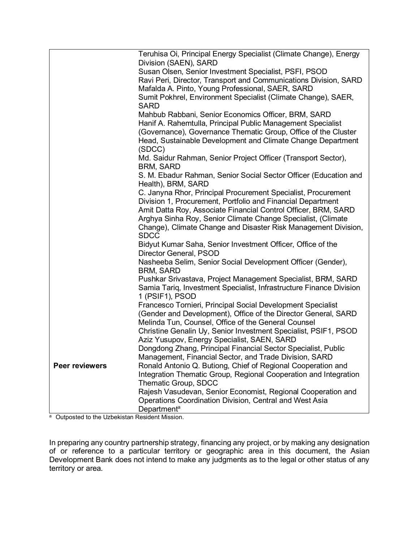|                | Teruhisa Oi, Principal Energy Specialist (Climate Change), Energy                                                      |
|----------------|------------------------------------------------------------------------------------------------------------------------|
|                | Division (SAEN), SARD<br>Susan Olsen, Senior Investment Specialist, PSFI, PSOD                                         |
|                | Ravi Peri, Director, Transport and Communications Division, SARD                                                       |
|                | Mafalda A. Pinto, Young Professional, SAER, SARD                                                                       |
|                | Sumit Pokhrel, Environment Specialist (Climate Change), SAER,<br><b>SARD</b>                                           |
|                | Mahbub Rabbani, Senior Economics Officer, BRM, SARD                                                                    |
|                | Hanif A. Rahemtulla, Principal Public Management Specialist                                                            |
|                | (Governance), Governance Thematic Group, Office of the Cluster                                                         |
|                | Head, Sustainable Development and Climate Change Department                                                            |
|                | (SDCC)                                                                                                                 |
|                | Md. Saidur Rahman, Senior Project Officer (Transport Sector),<br><b>BRM, SARD</b>                                      |
|                | S. M. Ebadur Rahman, Senior Social Sector Officer (Education and                                                       |
|                | Health), BRM, SARD                                                                                                     |
|                | C. Janyna Rhor, Principal Procurement Specialist, Procurement                                                          |
|                | Division 1, Procurement, Portfolio and Financial Department                                                            |
|                | Amit Datta Roy, Associate Financial Control Officer, BRM, SARD                                                         |
|                | Arghya Sinha Roy, Senior Climate Change Specialist, (Climate                                                           |
|                | Change), Climate Change and Disaster Risk Management Division,<br><b>SDCC</b>                                          |
|                | Bidyut Kumar Saha, Senior Investment Officer, Office of the                                                            |
|                | Director General, PSOD                                                                                                 |
|                | Nasheeba Selim, Senior Social Development Officer (Gender),<br><b>BRM, SARD</b>                                        |
|                | Pushkar Srivastava, Project Management Specialist, BRM, SARD                                                           |
|                | Samia Tariq, Investment Specialist, Infrastructure Finance Division                                                    |
|                | 1 (PSIF1), PSOD                                                                                                        |
|                | Francesco Tornieri, Principal Social Development Specialist                                                            |
|                | (Gender and Development), Office of the Director General, SARD                                                         |
|                | Melinda Tun, Counsel, Office of the General Counsel                                                                    |
|                | Christine Genalin Uy, Senior Investment Specialist, PSIF1, PSOD                                                        |
|                | Aziz Yusupov, Energy Specialist, SAEN, SARD                                                                            |
|                | Dongdong Zhang, Principal Financial Sector Specialist, Public                                                          |
| Peer reviewers | Management, Financial Sector, and Trade Division, SARD<br>Ronald Antonio Q. Butiong, Chief of Regional Cooperation and |
|                | Integration Thematic Group, Regional Cooperation and Integration                                                       |
|                | Thematic Group, SDCC                                                                                                   |
|                | Rajesh Vasudevan, Senior Economist, Regional Cooperation and                                                           |
|                | Operations Coordination Division, Central and West Asia                                                                |
|                | Department <sup>a</sup>                                                                                                |

a Outposted to the Uzbekistan Resident Mission.

In preparing any country partnership strategy, financing any project, or by making any designation of or reference to a particular territory or geographic area in this document, the Asian Development Bank does not intend to make any judgments as to the legal or other status of any territory or area.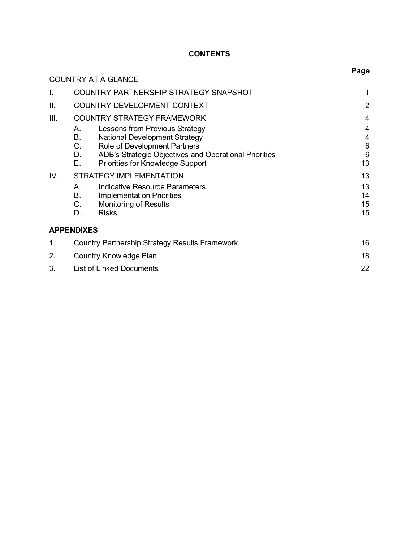# **CONTENTS**

|      | <b>COUNTRY AT A GLANCE</b>                                                                                                                                                                                                                             | Page                                               |
|------|--------------------------------------------------------------------------------------------------------------------------------------------------------------------------------------------------------------------------------------------------------|----------------------------------------------------|
| I.   | COUNTRY PARTNERSHIP STRATEGY SNAPSHOT                                                                                                                                                                                                                  |                                                    |
| Π.   | COUNTRY DEVELOPMENT CONTEXT                                                                                                                                                                                                                            | $\overline{2}$                                     |
| III. | <b>COUNTRY STRATEGY FRAMEWORK</b>                                                                                                                                                                                                                      | 4                                                  |
|      | Lessons from Previous Strategy<br>А.<br><b>B.</b><br><b>National Development Strategy</b><br>С.<br><b>Role of Development Partners</b><br>ADB's Strategic Objectives and Operational Priorities<br>D.<br>Е.<br><b>Priorities for Knowledge Support</b> | 4<br>4<br>$6\phantom{1}6$<br>$6\phantom{1}6$<br>13 |
| IV.  | <b>STRATEGY IMPLEMENTATION</b><br>Indicative Resource Parameters<br>А.<br>В.<br><b>Implementation Priorities</b><br>C.<br><b>Monitoring of Results</b><br>D.<br><b>Risks</b>                                                                           | 13<br>13<br>14<br>15<br>15                         |
|      | <b>APPENDIXES</b>                                                                                                                                                                                                                                      |                                                    |
| 1.   | Country Partnership Strategy Results Framework                                                                                                                                                                                                         | 16                                                 |
| 2.   | Country Knowledge Plan                                                                                                                                                                                                                                 | 18                                                 |
| 3.   | <b>List of Linked Documents</b>                                                                                                                                                                                                                        | 22                                                 |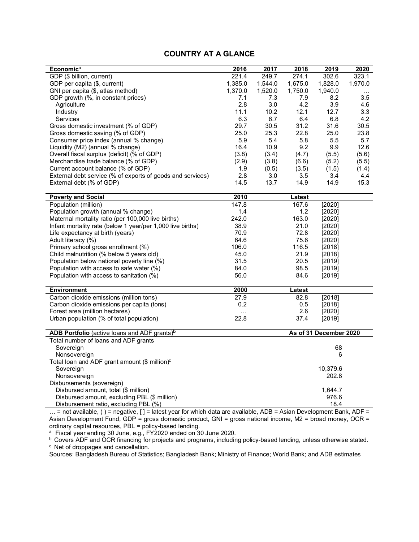#### **COUNTRY AT A GLANCE**

| <b>Economica</b>                                           | 2016    | 2017    | 2018    | 2019                   | 2020      |
|------------------------------------------------------------|---------|---------|---------|------------------------|-----------|
| GDP (\$ billion, current)                                  | 221.4   | 249.7   | 274.1   | 302.6                  | 323.1     |
| GDP per capita (\$, current)                               | 1,385.0 | 1,544.0 | 1,675.0 | 1,828.0                | 1,970.0   |
| GNI per capita (\$, atlas method)                          | 1,370.0 | 1,520.0 | 1,750.0 | 1,940.0                | $\ddotsc$ |
| GDP growth (%, in constant prices)                         | 7.1     | 7.3     | 7.9     | 8.2                    | $3.5\,$   |
| Agriculture                                                | 2.8     | 3.0     | 4.2     | 3.9                    | 4.6       |
| Industry                                                   | 11.1    | 10.2    | 12.1    | 12.7                   | 3.3       |
| Services                                                   | 6.3     | 6.7     | 6.4     | 6.8                    | 4.2       |
| Gross domestic investment (% of GDP)                       | 29.7    | 30.5    | 31.2    | 31.6                   | 30.5      |
| Gross domestic saving (% of GDP)                           | 25.0    | 25.3    | 22.8    | 25.0                   | 23.8      |
| Consumer price index (annual % change)                     | 5.9     | 5.4     | 5.8     | 5.5                    | 5.7       |
| Liquidity (M2) (annual % change)                           | 16.4    | 10.9    | 9.2     | 9.9                    | 12.6      |
| Overall fiscal surplus (deficit) (% of GDP)                | (3.8)   | (3.4)   | (4.7)   | (5.5)                  | (5.6)     |
| Merchandise trade balance (% of GDP)                       | (2.9)   | (3.8)   | (6.6)   | (5.2)                  | (5.5)     |
| Current account balance (% of GDP)                         | 1.9     | (0.5)   | (3.5)   | (1.5)                  | (1.4)     |
| External debt service (% of exports of goods and services) | 2.8     | 3.0     | 3.5     | 3.4                    | 4.4       |
| External debt (% of GDP)                                   | 14.5    | 13.7    | 14.9    | 14.9                   | 15.3      |
|                                                            |         |         |         |                        |           |
| <b>Poverty and Social</b>                                  | 2010    |         | Latest  |                        |           |
| Population (million)                                       | 147.8   |         | 167.6   | [2020]                 |           |
| Population growth (annual % change)                        | 1.4     |         | 1.2     | [2020]                 |           |
| Maternal mortality ratio (per 100,000 live births)         | 242.0   |         | 163.0   | [2020]                 |           |
| Infant mortality rate (below 1 year/per 1,000 live births) | 38.9    |         | 21.0    | [2020]                 |           |
| Life expectancy at birth (years)                           | 70.9    |         | 72.8    | [2020]                 |           |
| Adult literacy (%)                                         | 64.6    |         | 75.6    | [2020]                 |           |
| Primary school gross enrollment (%)                        | 106.0   |         | 116.5   | [2018]                 |           |
| Child malnutrition (% below 5 years old)                   | 45.0    |         | 21.9    | [2018]                 |           |
| Population below national poverty line (%)                 | 31.5    |         | 20.5    | [2019]                 |           |
| Population with access to safe water (%)                   | 84.0    |         | 98.5    | [2019]                 |           |
| Population with access to sanitation (%)                   | 56.0    |         | 84.6    | [2019]                 |           |
| <b>Environment</b>                                         | 2000    |         | Latest  |                        |           |
| Carbon dioxide emissions (million tons)                    | 27.9    |         | 82.8    | [2018]                 |           |
| Carbon dioxide emissions per capita (tons)                 | 0.2     |         | 0.5     | [2018]                 |           |
| Forest area (million hectares)                             | .       |         | 2.6     | [2020]                 |           |
| Urban population (% of total population)                   | 22.8    |         | 37.4    | [2019]                 |           |
|                                                            |         |         |         |                        |           |
| ADB Portfolio (active loans and ADF grants) <sup>b</sup>   |         |         |         | As of 31 December 2020 |           |
| Total number of loans and ADF grants                       |         |         |         |                        |           |
| Sovereign                                                  |         |         |         | 68                     |           |
| Nonsovereign                                               |         |         |         | 6                      |           |
| Total loan and ADF grant amount (\$ million) <sup>c</sup>  |         |         |         |                        |           |
| Sovereign                                                  |         |         |         | 10,379.6               |           |
| Nonsovereign                                               |         |         |         | 202.8                  |           |
| Disbursements (sovereign)                                  |         |         |         |                        |           |
| Disbursed amount, total (\$ million)                       |         |         |         | 1,644.7                |           |
| Disbursed amount, excluding PBL (\$ million)               |         |         |         | 976.6                  |           |
| Disbursement ratio, excluding PBL (%)                      |         |         |         | 18.4                   |           |

… = not available, ( ) = negative, [ ] = latest year for which data are available, ADB = Asian Development Bank, ADF = Asian Development Fund, GDP = gross domestic product, GNI = gross national income, M2 = broad money, OCR = ordinary capital resources, PBL = policy-based lending.

<sup>a</sup> Fiscal year ending 30 June, e.g., FY2020 ended on 30 June 2020.

<sup>b</sup> Covers ADF and OCR financing for projects and programs, including policy-based lending, unless otherwise stated.

<sup>c</sup> Net of droppages and cancellation.

Sources: Bangladesh Bureau of Statistics; Bangladesh Bank; Ministry of Finance; World Bank; and ADB estimates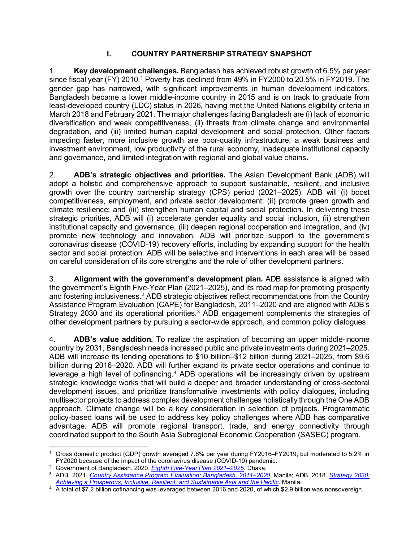# **I. COUNTRY PARTNERSHIP STRATEGY SNAPSHOT**

<span id="page-8-0"></span>1. **Key development challenges.** Bangladesh has achieved robust growth of 6.5% per year since fiscal year (FY) 20[1](#page-8-1)0.<sup>1</sup> Poverty has declined from 49% in FY2000 to 20.5% in FY2019. The gender gap has narrowed, with significant improvements in human development indicators. Bangladesh became a lower middle-income country in 2015 and is on track to graduate from least-developed country (LDC) status in 2026, having met the United Nations eligibility criteria in March 2018 and February 2021. The major challenges facing Bangladesh are (i) lack of economic diversification and weak competitiveness, (ii) threats from climate change and environmental degradation, and (iii) limited human capital development and social protection. Other factors impeding faster, more inclusive growth are poor-quality infrastructure, a weak business and investment environment, low productivity of the rural economy, inadequate institutional capacity and governance, and limited integration with regional and global value chains.

2. **ADB's strategic objectives and priorities.** The Asian Development Bank (ADB) will adopt a holistic and comprehensive approach to support sustainable, resilient, and inclusive growth over the country partnership strategy (CPS) period (2021–2025). ADB will (i) boost competitiveness, employment, and private sector development; (ii) promote green growth and climate resilience; and (iii) strengthen human capital and social protection. In delivering these strategic priorities, ADB will (i) accelerate gender equality and social inclusion, (ii) strengthen institutional capacity and governance, (iii) deepen regional cooperation and integration, and (iv) promote new technology and innovation. ADB will prioritize support to the government's coronavirus disease (COVID-19) recovery efforts, including by expanding support for the health sector and social protection. ADB will be selective and interventions in each area will be based on careful consideration of its core strengths and the role of other development partners.

3. **Alignment with the government's development plan.** ADB assistance is aligned with the government's Eighth Five-Year Plan (2021–2025), and its road map for promoting prosperity and fostering inclusiveness.<sup>[2](#page-8-2)</sup> ADB strategic objectives reflect recommendations from the Country Assistance Program Evaluation (CAPE) for Bangladesh, 2011–2020 and are aligned with ADB's Strategy 20[3](#page-8-3)0 and its operational priorities.<sup>3</sup> ADB engagement complements the strategies of other development partners by pursuing a sector-wide approach, and common policy dialogues.

4. **ADB's value addition.** To realize the aspiration of becoming an upper middle-income country by 2031, Bangladesh needs increased public and private investments during 2021–2025. ADB will increase its lending operations to \$10 billion–\$12 billion during 2021–2025, from \$9.6 billion during 2016–2020. ADB will further expand its private sector operations and continue to leverage a high level of cofinancing.<sup>[4](#page-8-4)</sup> ADB operations will be increasingly driven by upstream strategic knowledge works that will build a deeper and broader understanding of cross-sectoral development issues, and prioritize transformative investments with policy dialogues, including multisector projects to address complex development challenges holistically through the One ADB approach. Climate change will be a key consideration in selection of projects. Programmatic policy-based loans will be used to address key policy challenges where ADB has comparative advantage. ADB will promote regional transport, trade, and energy connectivity through coordinated support to the South Asia Subregional Economic Cooperation (SASEC) program.

<span id="page-8-1"></span><sup>1</sup> Gross domestic product (GDP) growth averaged 7.6% per year during FY2016–FY2019, but moderated to 5.2% in FY2020 because of the impact of the coronavirus disease (COVID-19) pandemic.

<span id="page-8-2"></span><sup>2</sup> Government of Bangladesh. 2020. *[Eighth Five-Year Plan 2021–2025](http://plancomm.gov.bd/sites/default/files/files/plancomm.portal.gov.bd/files/68e32f08_13b8_4192_ab9b_abd5a0a62a33/2021-02-03-17-04-ec95e78e452a813808a483b3b22e14a1.pdf)*. Dhaka.

<span id="page-8-3"></span><sup>3</sup> ADB. 2021. *[Country Assistance Program Evaluation: Bangladesh, 2011–2020](https://www.adb.org/documents/country-assistance-program-evaluation-bangladesh)*. Manila; ADB. 2018. *[Strategy 2030:](https://www.adb.org/documents/strategy-2030-prosperous-inclusive-resilient-sustainable-asia-pacific)  [Achieving a Prosperous, Inclusive, Resilient, and Sustainable Asia and the Pacific.](https://www.adb.org/documents/strategy-2030-prosperous-inclusive-resilient-sustainable-asia-pacific)* Manila.

<span id="page-8-4"></span><sup>4</sup> A total of \$7.2 billion cofinancing was leveraged between 2016 and 2020, of which \$2.9 billion was nonsovereign.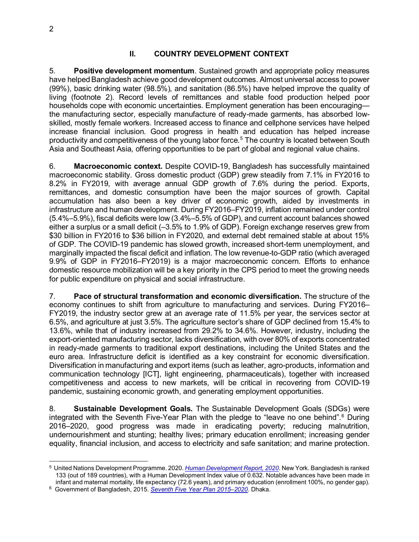#### **II. COUNTRY DEVELOPMENT CONTEXT**

<span id="page-9-0"></span>5. **Positive development momentum**. Sustained growth and appropriate policy measures have helped Bangladesh achieve good development outcomes. Almost universal access to power (99%), basic drinking water (98.5%), and sanitation (86.5%) have helped improve the quality of living (footnote 2). Record levels of remittances and stable food production helped poor households cope with economic uncertainties. Employment generation has been encouraging the manufacturing sector, especially manufacture of ready-made garments, has absorbed lowskilled, mostly female workers. Increased access to finance and cellphone services have helped increase financial inclusion. Good progress in health and education has helped increase productivity and competitiveness of the young labor force.<sup>[5](#page-9-1)</sup> The country is located between South Asia and Southeast Asia, offering opportunities to be part of global and regional value chains.

6. **Macroeconomic context.** Despite COVID-19, Bangladesh has successfully maintained macroeconomic stability. Gross domestic product (GDP) grew steadily from 7.1% in FY2016 to 8.2% in FY2019, with average annual GDP growth of 7.6% during the period. Exports, remittances, and domestic consumption have been the major sources of growth. Capital accumulation has also been a key driver of economic growth, aided by investments in infrastructure and human development. During FY2016–FY2019, inflation remained under control (5.4%–5.9%), fiscal deficits were low (3.4%–5.5% of GDP), and current account balances showed either a surplus or a small deficit (–3.5% to 1.9% of GDP). Foreign exchange reserves grew from \$30 billion in FY2016 to \$36 billion in FY2020, and external debt remained stable at about 15% of GDP. The COVID-19 pandemic has slowed growth, increased short-term unemployment, and marginally impacted the fiscal deficit and inflation. The low revenue-to-GDP ratio (which averaged 9.9% of GDP in FY2016–FY2019) is a major macroeconomic concern. Efforts to enhance domestic resource mobilization will be a key priority in the CPS period to meet the growing needs for public expenditure on physical and social infrastructure.

7. **Pace of structural transformation and economic diversification.** The structure of the economy continues to shift from agriculture to manufacturing and services. During FY2016– FY2019, the industry sector grew at an average rate of 11.5% per year, the services sector at 6.5%, and agriculture at just 3.5%. The agriculture sector's share of GDP declined from 15.4% to 13.6%, while that of industry increased from 29.2% to 34.6%. However, industry, including the export-oriented manufacturing sector, lacks diversification, with over 80% of exports concentrated in ready-made garments to traditional export destinations, including the United States and the euro area. Infrastructure deficit is identified as a key constraint for economic diversification. Diversification in manufacturing and export items (such as leather, agro-products, information and communication technology [ICT], light engineering, pharmaceuticals), together with increased competitiveness and access to new markets, will be critical in recovering from COVID-19 pandemic, sustaining economic growth, and generating employment opportunities.

8. **Sustainable Development Goals.** The Sustainable Development Goals (SDGs) were integrated with the Seventh Five-Year Plan with the pledge to "leave no one behind". [6](#page-9-2) During 2016–2020, good progress was made in eradicating poverty; reducing malnutrition, undernourishment and stunting; healthy lives; primary education enrollment; increasing gender equality, financial inclusion, and access to electricity and safe sanitation; and marine protection.

<span id="page-9-1"></span><sup>5</sup> United Nations Development Programme. 2020. *[Human Development Report, 2020](http://hdr.undp.org/sites/default/files/hdr2020.pdf)*. New York. Bangladesh is ranked 133 (out of 189 countries), with a Human Development Index value of 0.632. Notable advances have been made in infant and maternal mortality, life expectancy (72.6 years), and primary education (enrollment 100%, no gender gap).

<span id="page-9-2"></span><sup>6</sup> Government of Bangladesh, 2015. *[Seventh Five Year Plan 2015–2020](https://www.unicef.org/bangladesh/sites/unicef.org.bangladesh/files/2018-10/7th_FYP_18_02_2016.pdf)*. Dhaka.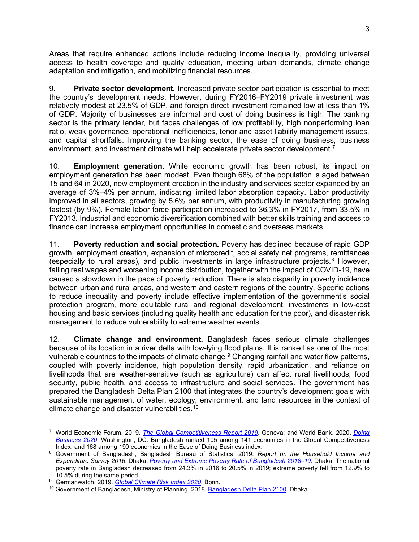Areas that require enhanced actions include reducing income inequality, providing universal access to health coverage and quality education, meeting urban demands, climate change adaptation and mitigation, and mobilizing financial resources.

9. **Private sector development.** Increased private sector participation is essential to meet the country's development needs. However, during FY2016–FY2019 private investment was relatively modest at 23.5% of GDP, and foreign direct investment remained low at less than 1% of GDP. Majority of businesses are informal and cost of doing business is high. The banking sector is the primary lender, but faces challenges of low profitability, high nonperforming loan ratio, weak governance, operational inefficiencies, tenor and asset liability management issues, and capital shortfalls. Improving the banking sector, the ease of doing business, business environment, and investment climate will help accelerate private sector development.<sup>[7](#page-10-0)</sup>

10. **Employment generation.** While economic growth has been robust, its impact on employment generation has been modest. Even though 68% of the population is aged between 15 and 64 in 2020, new employment creation in the industry and services sector expanded by an average of 3%–4% per annum, indicating limited labor absorption capacity. Labor productivity improved in all sectors, growing by 5.6% per annum, with productivity in manufacturing growing fastest (by 9%). Female labor force participation increased to 36.3% in FY2017, from 33.5% in FY2013. Industrial and economic diversification combined with better skills training and access to finance can increase employment opportunities in domestic and overseas markets.

11. **Poverty reduction and social protection.** Poverty has declined because of rapid GDP growth, employment creation, expansion of microcredit, social safety net programs, remittances (especially to rural areas), and public investments in large infrastructure projects.<sup>[8](#page-10-1)</sup> However, falling real wages and worsening income distribution, together with the impact of COVID-19, have caused a slowdown in the pace of poverty reduction. There is also disparity in poverty incidence between urban and rural areas, and western and eastern regions of the country. Specific actions to reduce inequality and poverty include effective implementation of the government's social protection program, more equitable rural and regional development, investments in low-cost housing and basic services (including quality health and education for the poor), and disaster risk management to reduce vulnerability to extreme weather events.

12. **Climate change and environment.** Bangladesh faces serious climate challenges because of its location in a river delta with low-lying flood plains. It is ranked as one of the most vulnerable countries to the impacts of climate change. [9](#page-10-2) Changing rainfall and water flow patterns, coupled with poverty incidence, high population density, rapid urbanization, and reliance on livelihoods that are weather-sensitive (such as agriculture) can affect rural livelihoods, food security, public health, and access to infrastructure and social services. The government has prepared the Bangladesh Delta Plan 2100 that integrates the country's development goals with sustainable management of water, ecology, environment, and land resources in the context of climate change and disaster vulnerabilities.[10](#page-10-3)

<span id="page-10-0"></span><sup>7</sup> World Economic Forum. 2019. *[The Global Competitiveness Report 2019](http://www3.weforum.org/docs/WEF_TheGlobalCompetitivenessReport2019.pdf)*. Geneva; and World Bank. 2020. *[Doing](https://documents1.worldbank.org/curated/en/688761571934946384/pdf/Doing-Business-2020-Comparing-Business-Regulation-in-190-Economies.pdf)  [Business 2020](https://documents1.worldbank.org/curated/en/688761571934946384/pdf/Doing-Business-2020-Comparing-Business-Regulation-in-190-Economies.pdf)*. Washington, DC. Bangladesh ranked 105 among 141 economies in the Global Competitiveness Index, and 168 among 190 economies in the Ease of Doing Business index.

<span id="page-10-1"></span><sup>8</sup> Government of Bangladesh, Bangladesh Bureau of Statistics. 2019. *Report on the Household Income and Expenditure Survey 2016*. Dhaka. *[Poverty and Extreme Poverty Rate of Bangladesh 2018–19](http://bbs.portal.gov.bd/sites/default/files/files/bbs.portal.gov.bd/page/5695ab85_1403_483a_afb4_26dfd767df18/2019-12-17-16-30-614e10bcb101bc1df5938723cc141c5d.pdf)*. Dhaka. The national poverty rate in Bangladesh decreased from 24.3% in 2016 to 20.5% in 2019; extreme poverty fell from 12.9% to 10.5% during the same period.

<span id="page-10-2"></span><sup>9</sup> Germanwatch. 2019. *[Global Climate Risk Index 2020](https://germanwatch.org/sites/default/files/20-2-01e%20Global%20Climate%20Risk%20Index%202020_14.pdf)*. Bonn.

<span id="page-10-3"></span><sup>10</sup> Government of Bangladesh, Ministry of Planning. 2018[. Bangladesh Delta Plan 2100.](https://plandiv.gov.bd/sites/default/files/files/plandiv.portal.gov.bd/files/2b2db593_2ebd_482e_a0e3_56a7bfe300c8/BDP%202100%20Abridged%20Version%20English.pdf) Dhaka.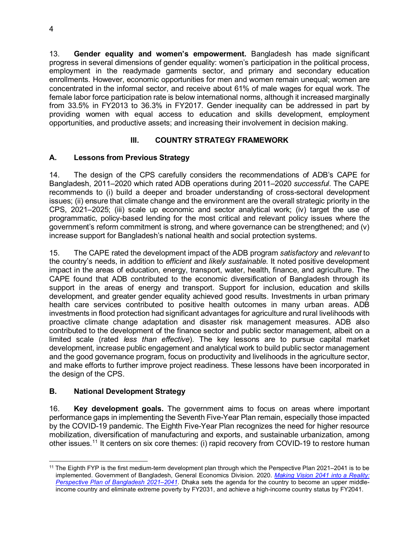13. **Gender equality and women's empowerment.** Bangladesh has made significant progress in several dimensions of gender equality: women's participation in the political process, employment in the readymade garments sector, and primary and secondary education enrollments. However, economic opportunities for men and women remain unequal; women are concentrated in the informal sector, and receive about 61% of male wages for equal work. The female labor force participation rate is below international norms, although it increased marginally from 33.5% in FY2013 to 36.3% in FY2017. Gender inequality can be addressed in part by providing women with equal access to education and skills development, employment opportunities, and productive assets; and increasing their involvement in decision making.

# **III. COUNTRY STRATEGY FRAMEWORK**

# <span id="page-11-1"></span><span id="page-11-0"></span>**A. Lessons from Previous Strategy**

14. The design of the CPS carefully considers the recommendations of ADB's CAPE for Bangladesh, 2011–2020 which rated ADB operations during 2011–2020 *successful*. The CAPE recommends to (i) build a deeper and broader understanding of cross-sectoral development issues; (ii) ensure that climate change and the environment are the overall strategic priority in the CPS, 2021–2025; (iii) scale up economic and sector analytical work; (iv) target the use of programmatic, policy-based lending for the most critical and relevant policy issues where the government's reform commitment is strong, and where governance can be strengthened; and (v) increase support for Bangladesh's national health and social protection systems.

15. The CAPE rated the development impact of the ADB program *satisfactory* and *relevant* to the country's needs, in addition to *efficient* and *likely sustainable*. It noted positive development impact in the areas of education, energy, transport, water, health, finance, and agriculture. The CAPE found that ADB contributed to the economic diversification of Bangladesh through its support in the areas of energy and transport. Support for inclusion, education and skills development, and greater gender equality achieved good results. Investments in urban primary health care services contributed to positive health outcomes in many urban areas. ADB investments in flood protection had significant advantages for agriculture and rural livelihoods with proactive climate change adaptation and disaster risk management measures. ADB also contributed to the development of the finance sector and public sector management, albeit on a limited scale (rated *less than effective*). The key lessons are to pursue capital market development, increase public engagement and analytical work to build public sector management and the good governance program, focus on productivity and livelihoods in the agriculture sector, and make efforts to further improve project readiness. These lessons have been incorporated in the design of the CPS.

# <span id="page-11-2"></span>**B. National Development Strategy**

16. **Key development goals.** The government aims to focus on areas where important performance gaps in implementing the Seventh Five-Year Plan remain, especially those impacted by the COVID-19 pandemic. The Eighth Five-Year Plan recognizes the need for higher resource mobilization, diversification of manufacturing and exports, and sustainable urbanization, among other issues.<sup>[11](#page-11-3)</sup> It centers on six core themes: (i) rapid recovery from COVID-19 to restore human

<span id="page-11-3"></span><sup>11</sup> The Eighth FYP is the first medium-term development plan through which the Perspective Plan 2021–2041 is to be implemented. Government of Bangladesh, General Economics Division. 2020. *[Making Vision 2041 into a Reality:](http://oldweb.lged.gov.bd/UploadedDocument/UnitPublication/1/1049/vision%202021-2041.pdf)  [Perspective Plan of Bangladesh 2021–2041](http://oldweb.lged.gov.bd/UploadedDocument/UnitPublication/1/1049/vision%202021-2041.pdf)*. Dhaka sets the agenda for the country to become an upper middleincome country and eliminate extreme poverty by FY2031, and achieve a high-income country status by FY2041.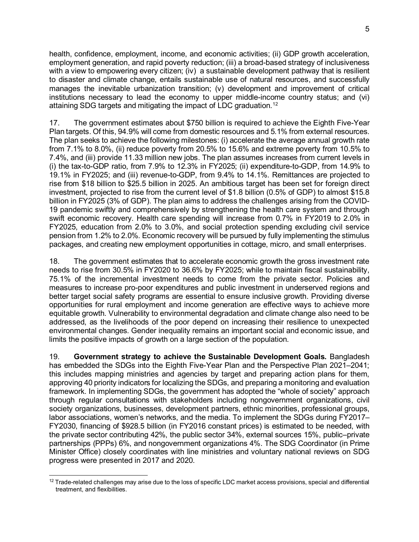health, confidence, employment, income, and economic activities; (ii) GDP growth acceleration, employment generation, and rapid poverty reduction; (iii) a broad-based strategy of inclusiveness with a view to empowering every citizen; (iv) a sustainable development pathway that is resilient to disaster and climate change, entails sustainable use of natural resources, and successfully manages the inevitable urbanization transition; (v) development and improvement of critical institutions necessary to lead the economy to upper middle-income country status; and (vi) attaining SDG targets and mitigating the impact of LDC graduation.[12](#page-12-0)

17. The government estimates about \$750 billion is required to achieve the Eighth Five-Year Plan targets. Of this, 94.9% will come from domestic resources and 5.1% from external resources. The plan seeks to achieve the following milestones: (i) accelerate the average annual growth rate from 7.1% to 8.0%, (ii) reduce poverty from 20.5% to 15.6% and extreme poverty from 10.5% to 7.4%, and (iii) provide 11.33 million new jobs. The plan assumes increases from current levels in (i) the tax-to-GDP ratio, from 7.9% to 12.3% in FY2025; (ii) expenditure-to-GDP, from 14.9% to 19.1% in FY2025; and (iii) revenue-to-GDP, from 9.4% to 14.1%. Remittances are projected to rise from \$18 billion to \$25.5 billion in 2025. An ambitious target has been set for foreign direct investment, projected to rise from the current level of \$1.8 billion (0.5% of GDP) to almost \$15.8 billion in FY2025 (3% of GDP). The plan aims to address the challenges arising from the COVID-19 pandemic swiftly and comprehensively by strengthening the health care system and through swift economic recovery. Health care spending will increase from 0.7% in FY2019 to 2.0% in FY2025, education from 2.0% to 3.0%, and social protection spending excluding civil service pension from 1.2% to 2.0%. Economic recovery will be pursued by fully implementing the stimulus packages, and creating new employment opportunities in cottage, micro, and small enterprises.

18. The government estimates that to accelerate economic growth the gross investment rate needs to rise from 30.5% in FY2020 to 36.6% by FY2025; while to maintain fiscal sustainability, 75.1% of the incremental investment needs to come from the private sector. Policies and measures to increase pro-poor expenditures and public investment in underserved regions and better target social safety programs are essential to ensure inclusive growth. Providing diverse opportunities for rural employment and income generation are effective ways to achieve more equitable growth. Vulnerability to environmental degradation and climate change also need to be addressed, as the livelihoods of the poor depend on increasing their resilience to unexpected environmental changes. Gender inequality remains an important social and economic issue, and limits the positive impacts of growth on a large section of the population.

19. **Government strategy to achieve the Sustainable Development Goals.** Bangladesh has embedded the SDGs into the Eighth Five-Year Plan and the Perspective Plan 2021–2041; this includes mapping ministries and agencies by target and preparing action plans for them, approving 40 priority indicators for localizing the SDGs, and preparing a monitoring and evaluation framework. In implementing SDGs, the government has adopted the "whole of society" approach through regular consultations with stakeholders including nongovernment organizations, civil society organizations, businesses, development partners, ethnic minorities, professional groups, labor associations, women's networks, and the media. To implement the SDGs during FY2017– FY2030, financing of \$928.5 billion (in FY2016 constant prices) is estimated to be needed, with the private sector contributing 42%, the public sector 34%, external sources 15%, public–private partnerships (PPPs) 6%, and nongovernment organizations 4%. The SDG Coordinator (in Prime Minister Office) closely coordinates with line ministries and voluntary national reviews on SDG progress were presented in 2017 and 2020.

<span id="page-12-0"></span> $12$  Trade-related challenges may arise due to the loss of specific LDC market access provisions, special and differential treatment, and flexibilities.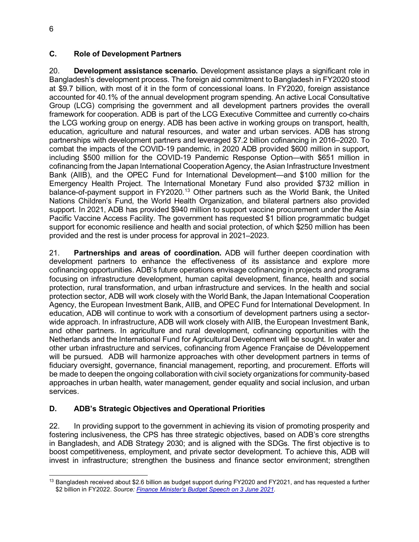#### <span id="page-13-0"></span>**C. Role of Development Partners**

20. **Development assistance scenario.** Development assistance plays a significant role in Bangladesh's development process. The foreign aid commitment to Bangladesh in FY2020 stood at \$9.7 billion, with most of it in the form of concessional loans. In FY2020, foreign assistance accounted for 40.1% of the annual development program spending. An active Local Consultative Group (LCG) comprising the government and all development partners provides the overall framework for cooperation. ADB is part of the LCG Executive Committee and currently co-chairs the LCG working group on energy. ADB has been active in working groups on transport, health, education, agriculture and natural resources, and water and urban services. ADB has strong partnerships with development partners and leveraged \$7.2 billion cofinancing in 2016–2020. To combat the impacts of the COVID-19 pandemic, in 2020 ADB provided \$600 million in support, including \$500 million for the COVID-19 Pandemic Response Option—with \$651 million in cofinancing from the Japan International Cooperation Agency, the Asian Infrastructure Investment Bank (AIIB), and the OPEC Fund for International Development—and \$100 million for the Emergency Health Project. The International Monetary Fund also provided \$732 million in balance-of-payment support in FY2020.[13](#page-13-2) Other partners such as the World Bank, the United Nations Children's Fund, the World Health Organization, and bilateral partners also provided support. In 2021, ADB has provided \$940 million to support vaccine procurement under the Asia Pacific Vaccine Access Facility. The government has requested \$1 billion programmatic budget support for economic resilience and health and social protection, of which \$250 million has been provided and the rest is under process for approval in 2021–2023.

21. **Partnerships and areas of coordination.** ADB will further deepen coordination with development partners to enhance the effectiveness of its assistance and explore more cofinancing opportunities. ADB's future operations envisage cofinancing in projects and programs focusing on infrastructure development, human capital development, finance, health and social protection, rural transformation, and urban infrastructure and services. In the health and social protection sector, ADB will work closely with the World Bank, the Japan International Cooperation Agency, the European Investment Bank, AIIB, and OPEC Fund for International Development. In education, ADB will continue to work with a consortium of development partners using a sectorwide approach. In infrastructure, ADB will work closely with AIIB, the European Investment Bank, and other partners. In agriculture and rural development, cofinancing opportunities with the Netherlands and the International Fund for Agricultural Development will be sought. In water and other urban infrastructure and services, cofinancing from Agence Française de Développement will be pursued. ADB will harmonize approaches with other development partners in terms of fiduciary oversight, governance, financial management, reporting, and procurement. Efforts will be made to deepen the ongoing collaboration with civil society organizations for community-based approaches in urban health, water management, gender equality and social inclusion, and urban services.

# <span id="page-13-1"></span>**D. ADB's Strategic Objectives and Operational Priorities**

22. In providing support to the government in achieving its vision of promoting prosperity and fostering inclusiveness, the CPS has three strategic objectives, based on ADB's core strengths in Bangladesh, and ADB Strategy 2030; and is aligned with the SDGs. The first objective is to boost competitiveness, employment, and private sector development. To achieve this, ADB will invest in infrastructure; strengthen the business and finance sector environment; strengthen

<span id="page-13-2"></span><sup>13</sup> Bangladesh received about \$2.6 billion as budget support during FY2020 and FY2021, and has requested a further \$2 billion in FY2022. *Source: [Finance Minister's Budget Speech on 3 June 2021.](https://mof.portal.gov.bd/sites/default/files/files/mof.portal.gov.bd/page/b29661b6_927f_4012_9f83_5ac47dbd6ebd/Speech%202021-22%20English%20Final%20Press.pdf)*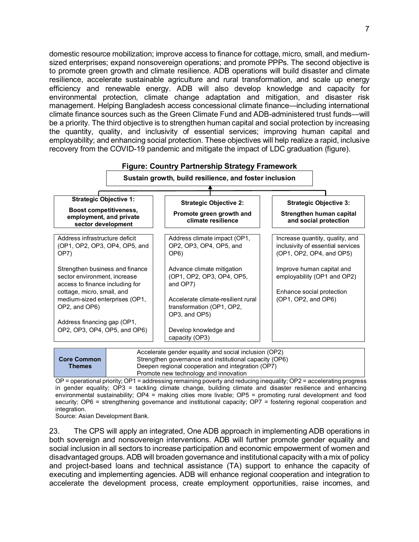domestic resource mobilization; improve access to finance for cottage, micro, small, and mediumsized enterprises; expand nonsovereign operations; and promote PPPs. The second objective is to promote green growth and climate resilience. ADB operations will build disaster and climate resilience, accelerate sustainable agriculture and rural transformation, and scale up energy efficiency and renewable energy. ADB will also develop knowledge and capacity for environmental protection, climate change adaptation and mitigation, and disaster risk management. Helping Bangladesh access concessional climate finance—including international climate finance sources such as the Green Climate Fund and ADB-administered trust funds—will be a priority. The third objective is to strengthen human capital and social protection by increasing the quantity, quality, and inclusivity of essential services; improving human capital and employability; and enhancing social protection. These objectives will help realize a rapid, inclusive recovery from the COVID-19 pandemic and mitigate the impact of LDC graduation (figure).



|                    | Accelerate gender equality and social inclusion (OP2)  |
|--------------------|--------------------------------------------------------|
| <b>Core Common</b> | Strengthen governance and institutional capacity (OP6) |
| <b>Themes</b>      | Deepen regional cooperation and integration (OP7)      |
|                    | Promote new technology and innovation                  |
|                    |                                                        |

OP = operational priority; OP1 = addressing remaining poverty and reducing inequality; OP2 = accelerating progress in gender equality; OP3 = tackling climate change, building climate and disaster resilience and enhancing environmental sustainability; OP4 = making cities more livable; OP5 = promoting rural development and food security; OP6 = strengthening governance and institutional capacity; OP7 = fostering regional cooperation and integration.

Source: Asian Development Bank.

23. The CPS will apply an integrated, One ADB approach in implementing ADB operations in both sovereign and nonsovereign interventions. ADB will further promote gender equality and social inclusion in all sectors to increase participation and economic empowerment of women and disadvantaged groups. ADB will broaden governance and institutional capacity with a mix of policy and project-based loans and technical assistance (TA) support to enhance the capacity of executing and implementing agencies. ADB will enhance regional cooperation and integration to accelerate the development process, create employment opportunities, raise incomes, and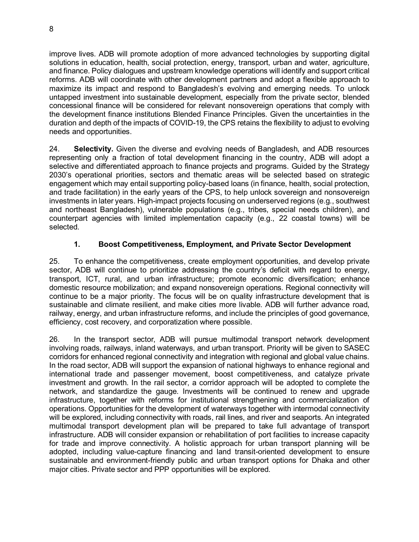improve lives. ADB will promote adoption of more advanced technologies by supporting digital solutions in education, health, social protection, energy, transport, urban and water, agriculture, and finance. Policy dialogues and upstream knowledge operations will identify and support critical reforms. ADB will coordinate with other development partners and adopt a flexible approach to maximize its impact and respond to Bangladesh's evolving and emerging needs. To unlock untapped investment into sustainable development, especially from the private sector, blended concessional finance will be considered for relevant nonsovereign operations that comply with the development finance institutions Blended Finance Principles. Given the uncertainties in the duration and depth of the impacts of COVID-19, the CPS retains the flexibility to adjust to evolving needs and opportunities.

24. **Selectivity.** Given the diverse and evolving needs of Bangladesh, and ADB resources representing only a fraction of total development financing in the country, ADB will adopt a selective and differentiated approach to finance projects and programs. Guided by the Strategy 2030's operational priorities, sectors and thematic areas will be selected based on strategic engagement which may entail supporting policy-based loans (in finance, health, social protection, and trade facilitation) in the early years of the CPS, to help unlock sovereign and nonsovereign investments in later years. High-impact projects focusing on underserved regions (e.g., southwest and northeast Bangladesh), vulnerable populations (e.g., tribes, special needs children), and counterpart agencies with limited implementation capacity (e.g., 22 coastal towns) will be selected.

# **1. Boost Competitiveness, Employment, and Private Sector Development**

25. To enhance the competitiveness, create employment opportunities, and develop private sector, ADB will continue to prioritize addressing the country's deficit with regard to energy, transport, ICT, rural, and urban infrastructure; promote economic diversification; enhance domestic resource mobilization; and expand nonsovereign operations. Regional connectivity will continue to be a major priority. The focus will be on quality infrastructure development that is sustainable and climate resilient, and make cities more livable. ADB will further advance road, railway, energy, and urban infrastructure reforms, and include the principles of good governance, efficiency, cost recovery, and corporatization where possible.

26. In the transport sector, ADB will pursue multimodal transport network development involving roads, railways, inland waterways, and urban transport. Priority will be given to SASEC corridors for enhanced regional connectivity and integration with regional and global value chains. In the road sector, ADB will support the expansion of national highways to enhance regional and international trade and passenger movement, boost competitiveness, and catalyze private investment and growth. In the rail sector, a corridor approach will be adopted to complete the network, and standardize the gauge. Investments will be continued to renew and upgrade infrastructure, together with reforms for institutional strengthening and commercialization of operations. Opportunities for the development of waterways together with intermodal connectivity will be explored, including connectivity with roads, rail lines, and river and seaports. An integrated multimodal transport development plan will be prepared to take full advantage of transport infrastructure. ADB will consider expansion or rehabilitation of port facilities to increase capacity for trade and improve connectivity. A holistic approach for urban transport planning will be adopted, including value-capture financing and land transit-oriented development to ensure sustainable and environment-friendly public and urban transport options for Dhaka and other major cities. Private sector and PPP opportunities will be explored.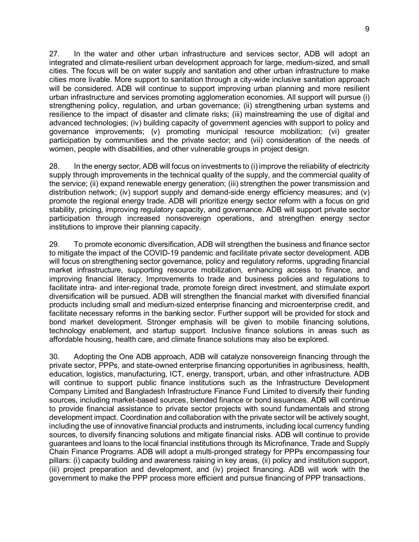27. In the water and other urban infrastructure and services sector, ADB will adopt an integrated and climate-resilient urban development approach for large, medium-sized, and small cities. The focus will be on water supply and sanitation and other urban infrastructure to make cities more livable. More support to sanitation through a city-wide inclusive sanitation approach will be considered. ADB will continue to support improving urban planning and more resilient urban infrastructure and services promoting agglomeration economies. All support will pursue (i) strengthening policy, regulation, and urban governance; (ii) strengthening urban systems and resilience to the impact of disaster and climate risks; (iii) mainstreaming the use of digital and advanced technologies; (iv) building capacity of government agencies with support to policy and governance improvements; (v) promoting municipal resource mobilization; (vi) greater participation by communities and the private sector; and (vii) consideration of the needs of women, people with disabilities, and other vulnerable groups in project design.

28. In the energy sector, ADB will focus on investments to (i) improve the reliability of electricity supply through improvements in the technical quality of the supply, and the commercial quality of the service; (ii) expand renewable energy generation; (iii) strengthen the power transmission and distribution network; (iv) support supply and demand-side energy efficiency measures; and (v) promote the regional energy trade. ADB will prioritize energy sector reform with a focus on grid stability, pricing, improving regulatory capacity, and governance. ADB will support private sector participation through increased nonsovereign operations, and strengthen energy sector institutions to improve their planning capacity.

29. To promote economic diversification, ADB will strengthen the business and finance sector to mitigate the impact of the COVID-19 pandemic and facilitate private sector development. ADB will focus on strengthening sector governance, policy and regulatory reforms, upgrading financial market infrastructure, supporting resource mobilization, enhancing access to finance, and improving financial literacy. Improvements to trade and business policies and regulations to facilitate intra- and inter-regional trade, promote foreign direct investment, and stimulate export diversification will be pursued. ADB will strengthen the financial market with diversified financial products including small and medium-sized enterprise financing and microenterprise credit, and facilitate necessary reforms in the banking sector. Further support will be provided for stock and bond market development. Stronger emphasis will be given to mobile financing solutions, technology enablement, and startup support. Inclusive finance solutions in areas such as affordable housing, health care, and climate finance solutions may also be explored.

30. Adopting the One ADB approach, ADB will catalyze nonsovereign financing through the private sector, PPPs, and state-owned enterprise financing opportunities in agribusiness, health, education, logistics, manufacturing, ICT, energy, transport, urban, and other infrastructure. ADB will continue to support public finance institutions such as the Infrastructure Development Company Limited and Bangladesh Infrastructure Finance Fund Limited to diversify their funding sources, including market-based sources, blended finance or bond issuances. ADB will continue to provide financial assistance to private sector projects with sound fundamentals and strong development impact. Coordination and collaboration with the private sector will be actively sought, including the use of innovative financial products and instruments, including local currency funding sources, to diversify financing solutions and mitigate financial risks. ADB will continue to provide guarantees and loans to the local financial institutions through its Microfinance, Trade and Supply Chain Finance Programs. ADB will adopt a multi-pronged strategy for PPPs encompassing four pillars: (i) capacity building and awareness raising in key areas, (ii) policy and institution support, (iii) project preparation and development, and (iv) project financing. ADB will work with the government to make the PPP process more efficient and pursue financing of PPP transactions.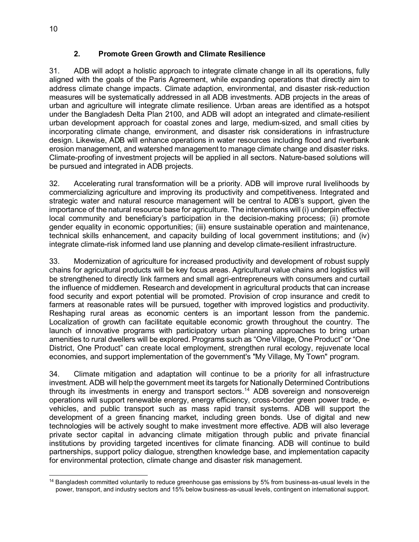#### **2. Promote Green Growth and Climate Resilience**

31. ADB will adopt a holistic approach to integrate climate change in all its operations, fully aligned with the goals of the Paris Agreement, while expanding operations that directly aim to address climate change impacts. Climate adaption, environmental, and disaster risk-reduction measures will be systematically addressed in all ADB investments. ADB projects in the areas of urban and agriculture will integrate climate resilience. Urban areas are identified as a hotspot under the Bangladesh Delta Plan 2100, and ADB will adopt an integrated and climate-resilient urban development approach for coastal zones and large, medium-sized, and small cities by incorporating climate change, environment, and disaster risk considerations in infrastructure design. Likewise, ADB will enhance operations in water resources including flood and riverbank erosion management, and watershed management to manage climate change and disaster risks. Climate-proofing of investment projects will be applied in all sectors. Nature-based solutions will be pursued and integrated in ADB projects.

32. Accelerating rural transformation will be a priority. ADB will improve rural livelihoods by commercializing agriculture and improving its productivity and competitiveness. Integrated and strategic water and natural resource management will be central to ADB's support, given the importance of the natural resource base for agriculture. The interventions will (i) underpin effective local community and beneficiary's participation in the decision-making process; (ii) promote gender equality in economic opportunities; (iii) ensure sustainable operation and maintenance, technical skills enhancement, and capacity building of local government institutions; and (iv) integrate climate-risk informed land use planning and develop climate-resilient infrastructure.

33. Modernization of agriculture for increased productivity and development of robust supply chains for agricultural products will be key focus areas. Agricultural value chains and logistics will be strengthened to directly link farmers and small agri-entrepreneurs with consumers and curtail the influence of middlemen. Research and development in agricultural products that can increase food security and export potential will be promoted. Provision of crop insurance and credit to farmers at reasonable rates will be pursued, together with improved logistics and productivity. Reshaping rural areas as economic centers is an important lesson from the pandemic. Localization of growth can facilitate equitable economic growth throughout the country. The launch of innovative programs with participatory urban planning approaches to bring urban amenities to rural dwellers will be explored. Programs such as "One Village, One Product" or "One District, One Product" can create local employment, strengthen rural ecology, rejuvenate local economies, and support implementation of the government's "My Village, My Town" program.

34. Climate mitigation and adaptation will continue to be a priority for all infrastructure investment. ADB will help the government meet its targets for Nationally Determined Contributions through its investments in energy and transport sectors.<sup>[14](#page-17-0)</sup> ADB sovereign and nonsovereign operations will support renewable energy, energy efficiency, cross-border green power trade, evehicles, and public transport such as mass rapid transit systems. ADB will support the development of a green financing market, including green bonds. Use of digital and new technologies will be actively sought to make investment more effective. ADB will also leverage private sector capital in advancing climate mitigation through public and private financial institutions by providing targeted incentives for climate financing. ADB will continue to build partnerships, support policy dialogue, strengthen knowledge base, and implementation capacity for environmental protection, climate change and disaster risk management.

<span id="page-17-0"></span><sup>14</sup> Bangladesh committed voluntarily to reduce greenhouse gas emissions by 5% from business-as-usual levels in the power, transport, and industry sectors and 15% below business-as-usual levels, contingent on international support.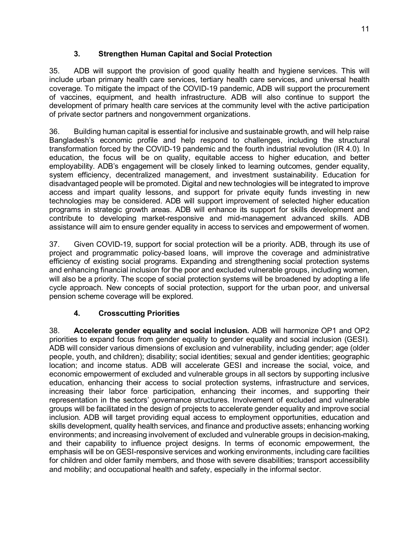# **3. Strengthen Human Capital and Social Protection**

35. ADB will support the provision of good quality health and hygiene services. This will include urban primary health care services, tertiary health care services, and universal health coverage. To mitigate the impact of the COVID-19 pandemic, ADB will support the procurement of vaccines, equipment, and health infrastructure. ADB will also continue to support the development of primary health care services at the community level with the active participation of private sector partners and nongovernment organizations.

36. Building human capital is essential for inclusive and sustainable growth, and will help raise Bangladesh's economic profile and help respond to challenges, including the structural transformation forced by the COVID-19 pandemic and the fourth industrial revolution (IR 4.0). In education, the focus will be on quality, equitable access to higher education, and better employability. ADB's engagement will be closely linked to learning outcomes, gender equality, system efficiency, decentralized management, and investment sustainability. Education for disadvantaged people will be promoted. Digital and new technologies will be integrated to improve access and impart quality lessons, and support for private equity funds investing in new technologies may be considered. ADB will support improvement of selected higher education programs in strategic growth areas. ADB will enhance its support for skills development and contribute to developing market-responsive and mid-management advanced skills. ADB assistance will aim to ensure gender equality in access to services and empowerment of women.

37. Given COVID-19, support for social protection will be a priority. ADB, through its use of project and programmatic policy-based loans, will improve the coverage and administrative efficiency of existing social programs. Expanding and strengthening social protection systems and enhancing financial inclusion for the poor and excluded vulnerable groups, including women, will also be a priority. The scope of social protection systems will be broadened by adopting a life cycle approach. New concepts of social protection, support for the urban poor, and universal pension scheme coverage will be explored.

# **4. Crosscutting Priorities**

38. **Accelerate gender equality and social inclusion.** ADB will harmonize OP1 and OP2 priorities to expand focus from gender equality to gender equality and social inclusion (GESI). ADB will consider various dimensions of exclusion and vulnerability, including gender; age (older people, youth, and children); disability; social identities; sexual and gender identities; geographic location; and income status. ADB will accelerate GESI and increase the social, voice, and economic empowerment of excluded and vulnerable groups in all sectors by supporting inclusive education, enhancing their access to social protection systems, infrastructure and services, increasing their labor force participation, enhancing their incomes, and supporting their representation in the sectors' governance structures. Involvement of excluded and vulnerable groups will be facilitated in the design of projects to accelerate gender equality and improve social inclusion. ADB will target providing equal access to employment opportunities, education and skills development, quality health services, and finance and productive assets; enhancing working environments; and increasing involvement of excluded and vulnerable groups in decision-making, and their capability to influence project designs. In terms of economic empowerment, the emphasis will be on GESI-responsive services and working environments, including care facilities for children and older family members, and those with severe disabilities; transport accessibility and mobility; and occupational health and safety, especially in the informal sector.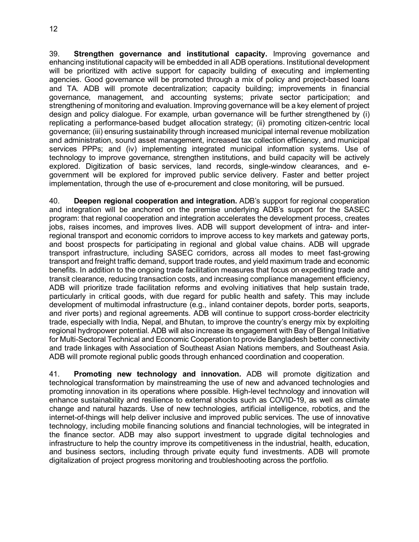12

39. **Strengthen governance and institutional capacity.** Improving governance and enhancing institutional capacity will be embedded in all ADB operations. Institutional development will be prioritized with active support for capacity building of executing and implementing agencies. Good governance will be promoted through a mix of policy and project-based loans and TA. ADB will promote decentralization; capacity building; improvements in financial governance, management, and accounting systems; private sector participation; and strengthening of monitoring and evaluation. Improving governance will be a key element of project design and policy dialogue. For example, urban governance will be further strengthened by (i) replicating a performance-based budget allocation strategy; (ii) promoting citizen-centric local governance; (iii) ensuring sustainability through increased municipal internal revenue mobilization and administration, sound asset management, increased tax collection efficiency, and municipal services PPPs; and (iv) implementing integrated municipal information systems. Use of technology to improve governance, strengthen institutions, and build capacity will be actively explored. Digitization of basic services, land records, single-window clearances, and egovernment will be explored for improved public service delivery. Faster and better project implementation, through the use of e-procurement and close monitoring, will be pursued.

40. **Deepen regional cooperation and integration.** ADB's support for regional cooperation and integration will be anchored on the premise underlying ADB's support for the SASEC program: that regional cooperation and integration accelerates the development process, creates jobs, raises incomes, and improves lives. ADB will support development of intra- and interregional transport and economic corridors to improve access to key markets and gateway ports, and boost prospects for participating in regional and global value chains. ADB will upgrade transport infrastructure, including SASEC corridors, across all modes to meet fast-growing transport and freight traffic demand, support trade routes, and yield maximum trade and economic benefits. In addition to the ongoing trade facilitation measures that focus on expediting trade and transit clearance, reducing transaction costs, and increasing compliance management efficiency, ADB will prioritize trade facilitation reforms and evolving initiatives that help sustain trade, particularly in critical goods, with due regard for public health and safety. This may include development of multimodal infrastructure (e.g., inland container depots, border ports, seaports, and river ports) and regional agreements. ADB will continue to support cross-border electricity trade, especially with India, Nepal, and Bhutan, to improve the country's energy mix by exploiting regional hydropower potential. ADB will also increase its engagement with Bay of Bengal Initiative for Multi-Sectoral Technical and Economic Cooperation to provide Bangladesh better connectivity and trade linkages with Association of Southeast Asian Nations members, and Southeast Asia. ADB will promote regional public goods through enhanced coordination and cooperation.

41. **Promoting new technology and innovation.** ADB will promote digitization and technological transformation by mainstreaming the use of new and advanced technologies and promoting innovation in its operations where possible. High-level technology and innovation will enhance sustainability and resilience to external shocks such as COVID-19, as well as climate change and natural hazards. Use of new technologies, artificial intelligence, robotics, and the internet-of-things will help deliver inclusive and improved public services. The use of innovative technology, including mobile financing solutions and financial technologies, will be integrated in the finance sector. ADB may also support investment to upgrade digital technologies and infrastructure to help the country improve its competitiveness in the industrial, health, education, and business sectors, including through private equity fund investments. ADB will promote digitalization of project progress monitoring and troubleshooting across the portfolio.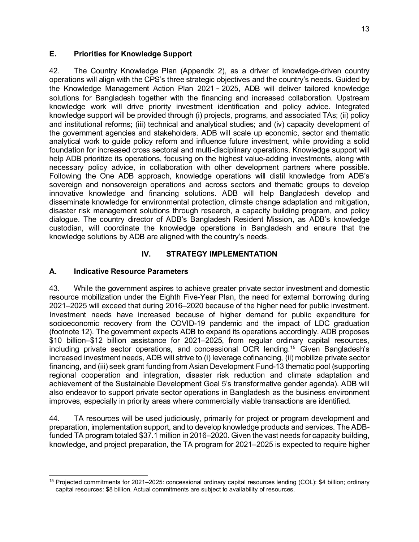#### <span id="page-20-0"></span>**E. Priorities for Knowledge Support**

42. The Country Knowledge Plan (Appendix 2), as a driver of knowledge-driven country operations will align with the CPS's three strategic objectives and the country's needs. Guided by the Knowledge Management Action Plan 2021–2025, ADB will deliver tailored knowledge solutions for Bangladesh together with the financing and increased collaboration. Upstream knowledge work will drive priority investment identification and policy advice. Integrated knowledge support will be provided through (i) projects, programs, and associated TAs; (ii) policy and institutional reforms; (iii) technical and analytical studies; and (iv) capacity development of the government agencies and stakeholders. ADB will scale up economic, sector and thematic analytical work to guide policy reform and influence future investment, while providing a solid foundation for increased cross sectoral and multi-disciplinary operations. Knowledge support will help ADB prioritize its operations, focusing on the highest value-adding investments, along with necessary policy advice, in collaboration with other development partners where possible. Following the One ADB approach, knowledge operations will distil knowledge from ADB's sovereign and nonsovereign operations and across sectors and thematic groups to develop innovative knowledge and financing solutions. ADB will help Bangladesh develop and disseminate knowledge for environmental protection, climate change adaptation and mitigation, disaster risk management solutions through research, a capacity building program, and policy dialogue. The country director of ADB's Bangladesh Resident Mission, as ADB's knowledge custodian, will coordinate the knowledge operations in Bangladesh and ensure that the knowledge solutions by ADB are aligned with the country's needs.

# **IV. STRATEGY IMPLEMENTATION**

#### <span id="page-20-2"></span><span id="page-20-1"></span>**A. Indicative Resource Parameters**

43. While the government aspires to achieve greater private sector investment and domestic resource mobilization under the Eighth Five-Year Plan, the need for external borrowing during 2021–2025 will exceed that during 2016–2020 because of the higher need for public investment. Investment needs have increased because of higher demand for public expenditure for socioeconomic recovery from the COVID-19 pandemic and the impact of LDC graduation (footnote 12). The government expects ADB to expand its operations accordingly. ADB proposes \$10 billion–\$12 billion assistance for 2021–2025, from regular ordinary capital resources, including private sector operations, and concessional OCR lending. [15](#page-20-3) Given Bangladesh's increased investment needs, ADB will strive to (i) leverage cofinancing, (ii) mobilize private sector financing, and (iii) seek grant funding from Asian Development Fund-13 thematic pool (supporting regional cooperation and integration, disaster risk reduction and climate adaptation and achievement of the Sustainable Development Goal 5's transformative gender agenda). ADB will also endeavor to support private sector operations in Bangladesh as the business environment improves, especially in priority areas where commercially viable transactions are identified.

44. TA resources will be used judiciously, primarily for project or program development and preparation, implementation support, and to develop knowledge products and services. The ADBfunded TA program totaled \$37.1 million in 2016–2020. Given the vast needs for capacity building, knowledge, and project preparation, the TA program for 2021–2025 is expected to require higher

<span id="page-20-3"></span><sup>15</sup> Projected commitments for 2021–2025: concessional ordinary capital resources lending (COL): \$4 billion; ordinary capital resources: \$8 billion. Actual commitments are subject to availability of resources.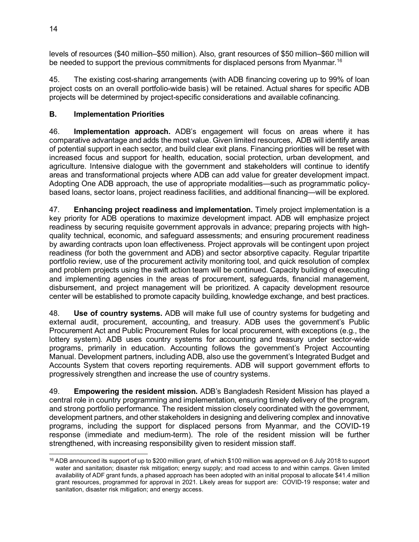levels of resources (\$40 million–\$50 million). Also, grant resources of \$50 million–\$60 million will be needed to support the previous commitments for displaced persons from Myanmar.<sup>[16](#page-21-1)</sup>

45. The existing cost-sharing arrangements (with ADB financing covering up to 99% of loan project costs on an overall portfolio-wide basis) will be retained. Actual shares for specific ADB projects will be determined by project-specific considerations and available cofinancing.

# <span id="page-21-0"></span>**B. Implementation Priorities**

46. **Implementation approach.** ADB's engagement will focus on areas where it has comparative advantage and adds the most value. Given limited resources, ADB will identify areas of potential support in each sector, and build clear exit plans. Financing priorities will be reset with increased focus and support for health, education, social protection, urban development, and agriculture. Intensive dialogue with the government and stakeholders will continue to identify areas and transformational projects where ADB can add value for greater development impact. Adopting One ADB approach, the use of appropriate modalities—such as programmatic policybased loans, sector loans, project readiness facilities, and additional financing—will be explored.

47. **Enhancing project readiness and implementation.** Timely project implementation is a key priority for ADB operations to maximize development impact. ADB will emphasize project readiness by securing requisite government approvals in advance; preparing projects with highquality technical, economic, and safeguard assessments; and ensuring procurement readiness by awarding contracts upon loan effectiveness. Project approvals will be contingent upon project readiness (for both the government and ADB) and sector absorptive capacity. Regular tripartite portfolio review, use of the procurement activity monitoring tool, and quick resolution of complex and problem projects using the swift action team will be continued. Capacity building of executing and implementing agencies in the areas of procurement, safeguards, financial management, disbursement, and project management will be prioritized. A capacity development resource center will be established to promote capacity building, knowledge exchange, and best practices.

48. **Use of country systems.** ADB will make full use of country systems for budgeting and external audit, procurement, accounting, and treasury. ADB uses the government's Public Procurement Act and Public Procurement Rules for local procurement, with exceptions (e.g., the lottery system). ADB uses country systems for accounting and treasury under sector-wide programs, primarily in education. Accounting follows the government's Project Accounting Manual. Development partners, including ADB, also use the government's Integrated Budget and Accounts System that covers reporting requirements. ADB will support government efforts to progressively strengthen and increase the use of country systems.

49. **Empowering the resident mission.** ADB's Bangladesh Resident Mission has played a central role in country programming and implementation, ensuring timely delivery of the program, and strong portfolio performance. The resident mission closely coordinated with the government, development partners, and other stakeholders in designing and delivering complex and innovative programs, including the support for displaced persons from Myanmar, and the COVID-19 response (immediate and medium-term). The role of the resident mission will be further strengthened, with increasing responsibility given to resident mission staff.

<span id="page-21-1"></span> $16$  ADB announced its support of up to \$200 million grant, of which \$100 million was approved on 6 July 2018 to support water and sanitation; disaster risk mitigation; energy supply; and road access to and within camps. Given limited availability of ADF grant funds, a phased approach has been adopted with an initial proposal to allocate \$41.4 million grant resources, programmed for approval in 2021. Likely areas for support are: COVID-19 response; water and sanitation, disaster risk mitigation; and energy access.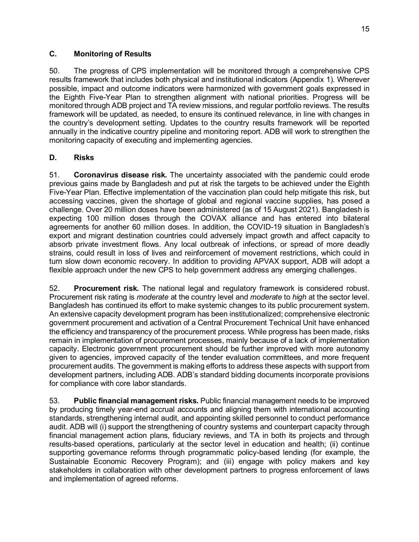#### <span id="page-22-0"></span>**C. Monitoring of Results**

50. The progress of CPS implementation will be monitored through a comprehensive CPS results framework that includes both physical and institutional indicators (Appendix 1). Wherever possible, impact and outcome indicators were harmonized with government goals expressed in the Eighth Five-Year Plan to strengthen alignment with national priorities. Progress will be monitored through ADB project and TA review missions, and regular portfolio reviews. The results framework will be updated, as needed, to ensure its continued relevance, in line with changes in the country's development setting. Updates to the country results framework will be reported annually in the indicative country pipeline and monitoring report. ADB will work to strengthen the monitoring capacity of executing and implementing agencies.

#### <span id="page-22-1"></span>**D. Risks**

51. **Coronavirus disease risk.** The uncertainty associated with the pandemic could erode previous gains made by Bangladesh and put at risk the targets to be achieved under the Eighth Five-Year Plan. Effective implementation of the vaccination plan could help mitigate this risk, but accessing vaccines, given the shortage of global and regional vaccine supplies, has posed a challenge. Over 20 million doses have been administered (as of 15 August 2021). Bangladesh is expecting 100 million doses through the COVAX alliance and has entered into bilateral agreements for another 60 million doses. In addition, the COVID-19 situation in Bangladesh's export and migrant destination countries could adversely impact growth and affect capacity to absorb private investment flows. Any local outbreak of infections, or spread of more deadly strains, could result in loss of lives and reinforcement of movement restrictions, which could in turn slow down economic recovery. In addition to providing APVAX support, ADB will adopt a flexible approach under the new CPS to help government address any emerging challenges.

52. **Procurement risk.** The national legal and regulatory framework is considered robust. Procurement risk rating is *moderate* at the country level and *moderate* to *high* at the sector level. Bangladesh has continued its effort to make systemic changes to its public procurement system. An extensive capacity development program has been institutionalized; comprehensive electronic government procurement and activation of a Central Procurement Technical Unit have enhanced the efficiency and transparency of the procurement process. While progress has been made, risks remain in implementation of procurement processes, mainly because of a lack of implementation capacity. Electronic government procurement should be further improved with more autonomy given to agencies, improved capacity of the tender evaluation committees, and more frequent procurement audits. The government is making efforts to address these aspects with support from development partners, including ADB. ADB's standard bidding documents incorporate provisions for compliance with core labor standards.

53. **Public financial management risks.** Public financial management needs to be improved by producing timely year-end accrual accounts and aligning them with international accounting standards, strengthening internal audit, and appointing skilled personnel to conduct performance audit. ADB will (i) support the strengthening of country systems and counterpart capacity through financial management action plans, fiduciary reviews, and TA in both its projects and through results-based operations, particularly at the sector level in education and health; (ii) continue supporting governance reforms through programmatic policy-based lending (for example, the Sustainable Economic Recovery Program); and (iii) engage with policy makers and key stakeholders in collaboration with other development partners to progress enforcement of laws and implementation of agreed reforms.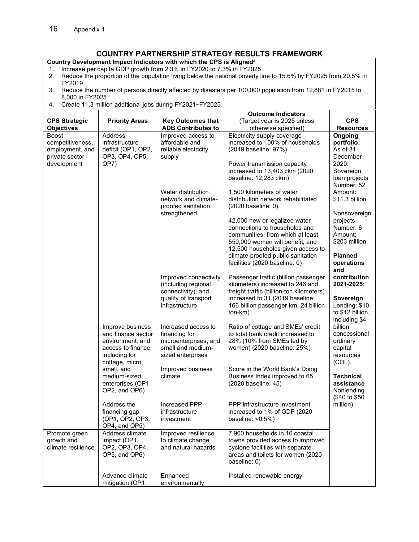# **COUNTRY PARTNERSHIP STRATEGY RESULTS FRAMEWORK**

<span id="page-23-0"></span>**Country Development Impact Indicators with which the CPS is Aligned**<sup>a</sup>

- 1. Increase per capita GDP growth from 2.3% in FY2020 to 7.3% in FY2025
- 2. Reduce the proportion of the population living below the national poverty line to 15.6% by FY2025 from 20.5% in FY2019
- 3. Reduce the number of persons directly affected by disasters per 100,000 population from 12,881 in FY2015 to 8,000 in FY2025
- 4. Create 11.3 million additional jobs during FY2021—FY2025

|                                                                                      |                                                                                                                      |                                                                                                              | <b>Outcome Indicators</b>                                                                                                                                                                                  |                                                                                                    |
|--------------------------------------------------------------------------------------|----------------------------------------------------------------------------------------------------------------------|--------------------------------------------------------------------------------------------------------------|------------------------------------------------------------------------------------------------------------------------------------------------------------------------------------------------------------|----------------------------------------------------------------------------------------------------|
| <b>CPS Strategic</b>                                                                 | <b>Priority Areas</b>                                                                                                | <b>Key Outcomes that</b>                                                                                     | (Target year is 2025 unless                                                                                                                                                                                | <b>CPS</b>                                                                                         |
| <b>Objectives</b>                                                                    |                                                                                                                      | <b>ADB Contributes to</b>                                                                                    | otherwise specified)                                                                                                                                                                                       | <b>Resources</b>                                                                                   |
| <b>Boost</b><br>competitiveness,<br>employment, and<br>private sector<br>development | Address<br>infrastructure<br>deficit (OP1, OP2,<br>OP3, OP4, OP5,<br>OP7)                                            | Improved access to<br>affordable and<br>reliable electricity<br>supply                                       | Electricity supply coverage<br>increased to 100% of households<br>(2019 baseline: 97%)<br>Power transmission capacity<br>increased to 13,403 ckm (2020<br>baseline: 12,283 ckm)                            | Ongoing<br>portfolio:<br>As of 31<br>December<br>2020:<br>Sovereign<br>loan projects<br>Number: 52 |
|                                                                                      |                                                                                                                      | Water distribution<br>network and climate-<br>proofed sanitation<br>strengthened                             | 1,500 kilometers of water<br>distribution network rehabilitated<br>$(2020$ baseline: 0)<br>42,000 new or legalized water<br>connections to households and                                                  | Amount:<br>\$11.3 billion<br>Nonsovereign<br>projects<br>Number: 6                                 |
|                                                                                      |                                                                                                                      |                                                                                                              | communities, from which at least<br>550,000 women will benefit; and<br>12,500 households given access to<br>climate-proofed public sanitation<br>facilities (2020 baseline: 0)                             | Amount:<br>\$203 million<br><b>Planned</b><br>operations<br>and                                    |
|                                                                                      |                                                                                                                      | Improved connectivity<br>(including regional<br>connectivity), and<br>quality of transport<br>infrastructure | Passenger traffic (billion passenger<br>kilometers) increased to 246 and<br>freight traffic (billion-ton kilometers)<br>increased to 31 (2019 baseline:<br>166 billion passenger-km; 24 billion<br>ton-km) | contribution<br>2021-2025:<br>Sovereign<br>Lending: \$10<br>to \$12 billion,<br>including \$4      |
|                                                                                      | Improve business<br>and finance sector<br>environment, and<br>access to finance,<br>including for<br>cottage, micro, | Increased access to<br>financing for<br>microenterprises, and<br>small and medium-<br>sized enterprises      | Ratio of cottage and SMEs' credit<br>to total bank credit increased to<br>28% (10% from SMEs led by<br>women) (2020 baseline: 25%)                                                                         | billion<br>concessional<br>ordinary<br>capital<br>resources<br>$(COL)$ .                           |
|                                                                                      | small, and<br>medium-sized<br>enterprises (OP1,<br>OP2, and OP6)                                                     | Improved business<br>climate                                                                                 | Score in the World Bank's Doing<br>Business Index improved to 65<br>(2020 baseline: 45)                                                                                                                    | <b>Technical</b><br>assistance<br>Nonlending<br>(\$40 to \$50                                      |
|                                                                                      | Address the<br>financing gap<br>(OP1, OP2, OP3,<br>OP4, and OP5)                                                     | Increased PPP<br>infrastructure<br>investment                                                                | PPP infrastructure investment<br>increased to 1% of GDP (2020<br>baseline: <0.5%)                                                                                                                          | million)                                                                                           |
| Promote green<br>growth and<br>climate resilience                                    | Address climate<br>impact (OP1,<br>OP2, OP3, OP4,<br>OP5, and OP6)                                                   | Improved resilience<br>to climate change<br>and natural hazards                                              | 7,900 households in 10 coastal<br>towns provided access to improved<br>cyclone facilities with separate<br>areas and toilets for women (2020<br>baseline: 0)                                               |                                                                                                    |
|                                                                                      | Advance climate<br>mitigation (OP1,                                                                                  | Enhanced<br>environmentally                                                                                  | Installed renewable energy                                                                                                                                                                                 |                                                                                                    |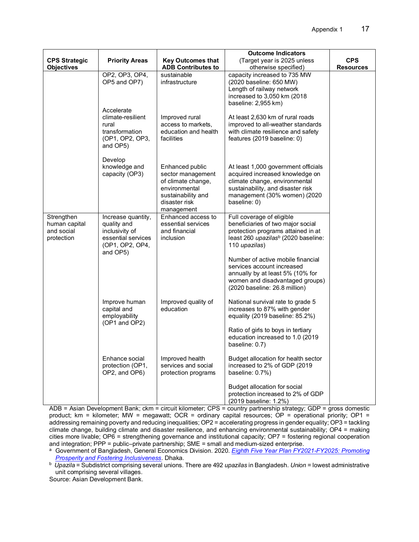|                                                         |                                                                                                          |                                                                                                                                  | <b>Outcome Indicators</b>                                                                                                                                                                                                                                                                                                                                   |                  |
|---------------------------------------------------------|----------------------------------------------------------------------------------------------------------|----------------------------------------------------------------------------------------------------------------------------------|-------------------------------------------------------------------------------------------------------------------------------------------------------------------------------------------------------------------------------------------------------------------------------------------------------------------------------------------------------------|------------------|
| <b>CPS Strategic</b>                                    | <b>Priority Areas</b>                                                                                    | <b>Key Outcomes that</b>                                                                                                         | (Target year is 2025 unless                                                                                                                                                                                                                                                                                                                                 | <b>CPS</b>       |
| <b>Objectives</b>                                       |                                                                                                          | <b>ADB Contributes to</b>                                                                                                        | otherwise specified)                                                                                                                                                                                                                                                                                                                                        | <b>Resources</b> |
|                                                         | OP2, OP3, OP4,<br>OP5 and OP7)                                                                           | sustainable<br>infrastructure                                                                                                    | capacity increased to 735 MW<br>(2020 baseline: 650 MW)<br>Length of railway network<br>increased to 3,050 km (2018<br>baseline: 2,955 km)                                                                                                                                                                                                                  |                  |
|                                                         | Accelerate<br>climate-resilient<br>rural<br>transformation<br>(OP1, OP2, OP3,<br>and OP5)                | Improved rural<br>access to markets,<br>education and health<br>facilities                                                       | At least 2,630 km of rural roads<br>improved to all-weather standards<br>with climate resilience and safety<br>features (2019 baseline: 0)                                                                                                                                                                                                                  |                  |
|                                                         | Develop<br>knowledge and<br>capacity (OP3)                                                               | Enhanced public<br>sector management<br>of climate change,<br>environmental<br>sustainability and<br>disaster risk<br>management | At least 1,000 government officials<br>acquired increased knowledge on<br>climate change, environmental<br>sustainability, and disaster risk<br>management (30% women) (2020<br>baseline: 0)                                                                                                                                                                |                  |
| Strengthen<br>human capital<br>and social<br>protection | Increase quantity,<br>quality and<br>inclusivity of<br>essential services<br>(OP1, OP2, OP4,<br>and OP5) | Enhanced access to<br>essential services<br>and financial<br>inclusion                                                           | Full coverage of eligible<br>beneficiaries of two major social<br>protection programs attained in at<br>least 260 upazilas <sup>b</sup> (2020 baseline:<br>110 <i>upazilas</i> )<br>Number of active mobile financial<br>services account increased<br>annually by at least 5% (10% for<br>women and disadvantaged groups)<br>(2020 baseline: 26.8 million) |                  |
|                                                         | Improve human<br>capital and<br>employability<br>(OP1 and OP2)                                           | Improved quality of<br>education                                                                                                 | National survival rate to grade 5<br>increases to 87% with gender<br>equality (2019 baseline: 85.2%)<br>Ratio of girls to boys in tertiary<br>education increased to 1.0 (2019<br>baseline: 0.7)                                                                                                                                                            |                  |
|                                                         | Enhance social<br>protection (OP1,<br>OP2, and OP6)                                                      | Improved health<br>services and social<br>protection programs                                                                    | Budget allocation for health sector<br>increased to 2% of GDP (2019<br>baseline: 0.7%)<br>Budget allocation for social                                                                                                                                                                                                                                      |                  |
|                                                         |                                                                                                          |                                                                                                                                  | protection increased to 2% of GDP<br>(2019 baseline: 1.2%)                                                                                                                                                                                                                                                                                                  |                  |

ADB = Asian Development Bank; ckm = circuit kilometer; CPS = country partnership strategy; GDP = gross domestic product; km = kilometer; MW = megawatt; OCR = ordinary capital resources; OP = operational priority; OP1 = addressing remaining poverty and reducing inequalities; OP2 = accelerating progress in gender equality; OP3 = tackling climate change, building climate and disaster resilience, and enhancing environmental sustainability; OP4 = making cities more livable; OP6 = strengthening governance and institutional capacity; OP7 = fostering regional cooperation and integration; PPP = public–private partnership; SME = small and medium-sized enterprise.

<sup>a</sup> Government of Bangladesh, General Economics Division. 2020*. Eighth Five [Year Plan FY2021-FY2025: Promoting](http://plancomm.gov.bd/sites/default/files/files/plancomm.portal.gov.bd/files/68e32f08_13b8_4192_ab9b_abd5a0a62a33/2021-02-03-17-04-ec95e78e452a813808a483b3b22e14a1.pdf)  [Prosperity and Fostering Inclusiveness](http://plancomm.gov.bd/sites/default/files/files/plancomm.portal.gov.bd/files/68e32f08_13b8_4192_ab9b_abd5a0a62a33/2021-02-03-17-04-ec95e78e452a813808a483b3b22e14a1.pdf)*. Dhaka.

b *Upazila* = Subdistrict comprising several unions. There are 492 *upazilas* in Bangladesh. *Union* = lowest administrative unit comprising several villages.

Source: Asian Development Bank.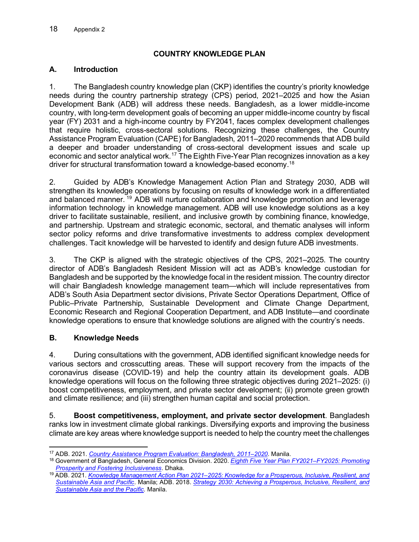# **COUNTRY KNOWLEDGE PLAN**

#### <span id="page-25-0"></span>**A. Introduction**

1. The Bangladesh country knowledge plan (CKP) identifies the country's priority knowledge needs during the country partnership strategy (CPS) period, 2021–2025 and how the Asian Development Bank (ADB) will address these needs. Bangladesh, as a lower middle-income country, with long-term development goals of becoming an upper middle-income country by fiscal year (FY) 2031 and a high-income country by FY2041, faces complex development challenges that require holistic, cross-sectoral solutions. Recognizing these challenges, the Country Assistance Program Evaluation (CAPE) for Bangladesh, 2011–2020 recommends that ADB build a deeper and broader understanding of cross-sectoral development issues and scale up economic and sector analytical work.<sup>[17](#page-25-1)</sup> The Eighth Five-Year Plan recognizes innovation as a key driver for structural transformation toward a knowledge-based economy.[18](#page-25-2)

2. Guided by ADB's Knowledge Management Action Plan and Strategy 2030, ADB will strengthen its knowledge operations by focusing on results of knowledge work in a differentiated and balanced manner.<sup>[19](#page-25-3)</sup> ADB will nurture collaboration and knowledge promotion and leverage information technology in knowledge management. ADB will use knowledge solutions as a key driver to facilitate sustainable, resilient, and inclusive growth by combining finance, knowledge, and partnership. Upstream and strategic economic, sectoral, and thematic analyses will inform sector policy reforms and drive transformative investments to address complex development challenges. Tacit knowledge will be harvested to identify and design future ADB investments.

3. The CKP is aligned with the strategic objectives of the CPS, 2021–2025. The country director of ADB's Bangladesh Resident Mission will act as ADB's knowledge custodian for Bangladesh and be supported by the knowledge focal in the resident mission. The country director will chair Bangladesh knowledge management team—which will include representatives from ADB's South Asia Department sector divisions, Private Sector Operations Department, Office of Public–Private Partnership, Sustainable Development and Climate Change Department, Economic Research and Regional Cooperation Department, and ADB Institute—and coordinate knowledge operations to ensure that knowledge solutions are aligned with the country's needs.

# **B. Knowledge Needs**

4. During consultations with the government, ADB identified significant knowledge needs for various sectors and crosscutting areas. These will support recovery from the impacts of the coronavirus disease (COVID-19) and help the country attain its development goals. ADB knowledge operations will focus on the following three strategic objectives during 2021–2025: (i) boost competitiveness, employment, and private sector development; (ii) promote green growth and climate resilience; and (iii) strengthen human capital and social protection.

5. **Boost competitiveness, employment, and private sector development**. Bangladesh ranks low in investment climate global rankings. Diversifying exports and improving the business climate are key areas where knowledge support is needed to help the country meet the challenges

<span id="page-25-1"></span><sup>17</sup> ADB. 2021. *[Country Assistance Program Evaluation: Bangladesh, 2011–2020](https://www.adb.org/documents/country-assistance-program-evaluation-bangladesh)*. Manila.

<span id="page-25-2"></span><sup>18</sup> Government of Bangladesh, General Economics Division. 2020. *[Eighth Five Year Plan FY2021–FY2025: Promoting](http://plancomm.gov.bd/sites/default/files/files/plancomm.portal.gov.bd/files/68e32f08_13b8_4192_ab9b_abd5a0a62a33/2021-02-03-17-04-ec95e78e452a813808a483b3b22e14a1.pdf)  [Prosperity and Fostering Inclusiveness](http://plancomm.gov.bd/sites/default/files/files/plancomm.portal.gov.bd/files/68e32f08_13b8_4192_ab9b_abd5a0a62a33/2021-02-03-17-04-ec95e78e452a813808a483b3b22e14a1.pdf)*. Dhaka.

<span id="page-25-3"></span><sup>19</sup> ADB. 2021. *[Knowledge Management Action Plan 2021–2025: Knowledge for a Prosperous, Inclusive, Resilient, and](https://dx.doi.org/10.22617/TCS210108-2)  [Sustainable Asia and Pacific](https://dx.doi.org/10.22617/TCS210108-2)*. Manila; ADB. 2018. *[Strategy 2030: Achieving a Prosperous, Inclusive, Resilient, and](https://dx.doi.org/10.22617/TCS189401-2)  [Sustainable Asia and the Pacific.](https://dx.doi.org/10.22617/TCS189401-2)* Manila.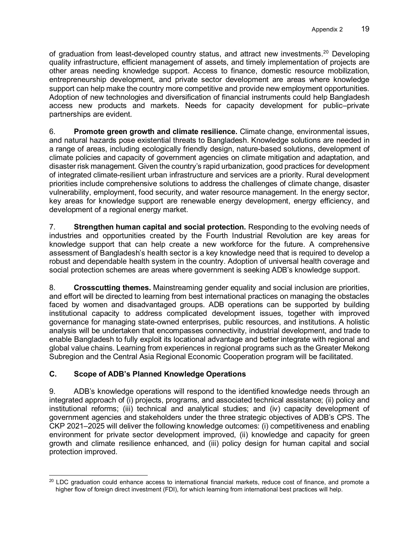of graduation from least-developed country status, and attract new investments.<sup>[20](#page-26-0)</sup> Developing quality infrastructure, efficient management of assets, and timely implementation of projects are other areas needing knowledge support. Access to finance, domestic resource mobilization, entrepreneurship development, and private sector development are areas where knowledge support can help make the country more competitive and provide new employment opportunities. Adoption of new technologies and diversification of financial instruments could help Bangladesh access new products and markets. Needs for capacity development for public–private partnerships are evident.

6. **Promote green growth and climate resilience.** Climate change, environmental issues, and natural hazards pose existential threats to Bangladesh. Knowledge solutions are needed in a range of areas, including ecologically friendly design, nature-based solutions, development of climate policies and capacity of government agencies on climate mitigation and adaptation, and disaster risk management. Given the country's rapid urbanization, good practices for development of integrated climate-resilient urban infrastructure and services are a priority. Rural development priorities include comprehensive solutions to address the challenges of climate change, disaster vulnerability, employment, food security, and water resource management. In the energy sector, key areas for knowledge support are renewable energy development, energy efficiency, and development of a regional energy market.

7. **Strengthen human capital and social protection.** Responding to the evolving needs of industries and opportunities created by the Fourth Industrial Revolution are key areas for knowledge support that can help create a new workforce for the future. A comprehensive assessment of Bangladesh's health sector is a key knowledge need that is required to develop a robust and dependable health system in the country. Adoption of universal health coverage and social protection schemes are areas where government is seeking ADB's knowledge support.

8. **Crosscutting themes.** Mainstreaming gender equality and social inclusion are priorities, and effort will be directed to learning from best international practices on managing the obstacles faced by women and disadvantaged groups. ADB operations can be supported by building institutional capacity to address complicated development issues, together with improved governance for managing state-owned enterprises, public resources, and institutions. A holistic analysis will be undertaken that encompasses connectivity, industrial development, and trade to enable Bangladesh to fully exploit its locational advantage and better integrate with regional and global value chains. Learning from experiences in regional programs such as the Greater Mekong Subregion and the Central Asia Regional Economic Cooperation program will be facilitated.

# **C. Scope of ADB's Planned Knowledge Operations**

9. ADB's knowledge operations will respond to the identified knowledge needs through an integrated approach of (i) projects, programs, and associated technical assistance; (ii) policy and institutional reforms; (iii) technical and analytical studies; and (iv) capacity development of government agencies and stakeholders under the three strategic objectives of ADB's CPS. The CKP 2021–2025 will deliver the following knowledge outcomes: (i) competitiveness and enabling environment for private sector development improved, (ii) knowledge and capacity for green growth and climate resilience enhanced, and (iii) policy design for human capital and social protection improved.

<span id="page-26-0"></span><sup>&</sup>lt;sup>20</sup> LDC graduation could enhance access to international financial markets, reduce cost of finance, and promote a higher flow of foreign direct investment (FDI), for which learning from international best practices will help.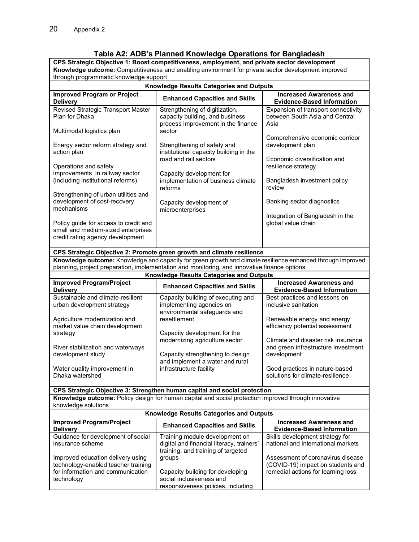# **Table A2: ADB's Planned Knowledge Operations for Bangladesh**

|                                                                                                                                                                       | CPS Strategic Objective 1: Boost competitiveness, employment, and private sector development                      |                                                                                                              |  |  |
|-----------------------------------------------------------------------------------------------------------------------------------------------------------------------|-------------------------------------------------------------------------------------------------------------------|--------------------------------------------------------------------------------------------------------------|--|--|
| Knowledge outcome: Competitiveness and enabling environment for private sector development improved<br>through programmatic knowledge support                         |                                                                                                                   |                                                                                                              |  |  |
|                                                                                                                                                                       | <b>Knowledge Results Categories and Outputs</b>                                                                   |                                                                                                              |  |  |
| <b>Improved Program or Project</b><br><b>Increased Awareness and</b><br><b>Enhanced Capacities and Skills</b><br><b>Delivery</b><br><b>Evidence-Based Information</b> |                                                                                                                   |                                                                                                              |  |  |
| Revised Strategic Transport Master<br>Plan for Dhaka<br>Multimodal logistics plan                                                                                     | Strengthening of digitization,<br>capacity building, and business<br>process improvement in the finance<br>sector | Expansion of transport connectivity<br>between South Asia and Central<br>Asia                                |  |  |
| Energy sector reform strategy and<br>action plan                                                                                                                      | Strengthening of safety and<br>institutional capacity building in the<br>road and rail sectors                    | Comprehensive economic corridor<br>development plan<br>Economic diversification and                          |  |  |
| Operations and safety<br>improvements in railway sector<br>(including institutional reforms)                                                                          | Capacity development for<br>implementation of business climate<br>reforms                                         | resilience strategy<br>Bangladesh investment policy<br>review                                                |  |  |
| Strengthening of urban utilities and<br>development of cost-recovery<br>mechanisms                                                                                    | Capacity development of<br>microenterprises                                                                       | Banking sector diagnostics                                                                                   |  |  |
| Policy guide for access to credit and<br>small and medium-sized enterprises<br>credit rating agency development                                                       |                                                                                                                   | Integration of Bangladesh in the<br>global value chain                                                       |  |  |
|                                                                                                                                                                       | CPS Strategic Objective 2: Promote green growth and climate resilience                                            |                                                                                                              |  |  |
|                                                                                                                                                                       | Knowledge outcome: Knowledge and capacity for green growth and climate resilience enhanced through improved       |                                                                                                              |  |  |
|                                                                                                                                                                       | planning, project preparation, implementation and monitoring, and innovative finance options                      |                                                                                                              |  |  |
|                                                                                                                                                                       | <b>Knowledge Results Categories and Outputs</b>                                                                   | <b>Increased Awareness and</b>                                                                               |  |  |
| <b>Improved Program/Project</b><br><b>Delivery</b>                                                                                                                    | <b>Enhanced Capacities and Skills</b>                                                                             | <b>Evidence-Based Information</b>                                                                            |  |  |
| Sustainable and climate-resilient<br>urban development strategy                                                                                                       | Capacity building of executing and<br>implementing agencies on<br>environmental safeguards and                    | Best practices and lessons on<br>inclusive sanitation                                                        |  |  |
| Agriculture modernization and<br>market value chain development<br>strategy                                                                                           | resettlement<br>Capacity development for the                                                                      | Renewable energy and energy<br>efficiency potential assessment                                               |  |  |
| River stabilization and waterways<br>development study                                                                                                                | modernizing agriculture sector<br>Capacity strengthening to design                                                | Climate and disaster risk insurance<br>and green infrastructure investment<br>development                    |  |  |
| Water quality improvement in<br>Dhaka watershed                                                                                                                       | and implement a water and rural<br>infrastructure facility                                                        | Good practices in nature-based<br>solutions for climate-resilience                                           |  |  |
|                                                                                                                                                                       | CPS Strategic Objective 3: Strengthen human capital and social protection                                         |                                                                                                              |  |  |
| Knowledge outcome: Policy design for human capital and social protection improved through innovative<br>knowledge solutions                                           |                                                                                                                   |                                                                                                              |  |  |
| Knowledge Results Categories and Outputs                                                                                                                              |                                                                                                                   |                                                                                                              |  |  |
| <b>Improved Program/Project</b><br><b>Delivery</b>                                                                                                                    | <b>Enhanced Capacities and Skills</b>                                                                             | <b>Increased Awareness and</b><br><b>Evidence-Based Information</b>                                          |  |  |
| Guidance for development of social<br>insurance scheme                                                                                                                | Training module development on<br>digital and financial literacy, trainers'<br>training, and training of targeted | Skills development strategy for<br>national and international markets                                        |  |  |
| Improved education delivery using<br>technology-enabled teacher training<br>for information and communication<br>technology                                           | groups<br>Capacity building for developing<br>social inclusiveness and<br>responsiveness policies, including      | Assessment of coronavirus disease<br>(COVID-19) impact on students and<br>remedial actions for learning loss |  |  |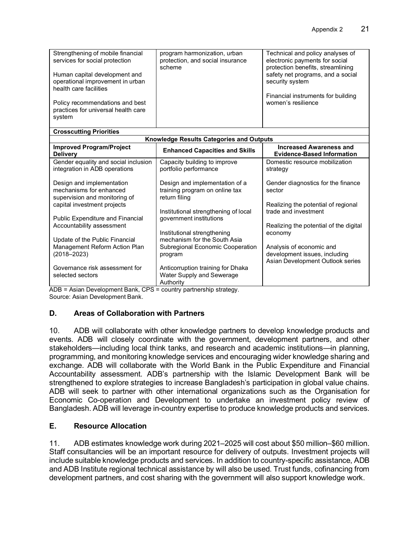| Strengthening of mobile financial<br>services for social protection                         | program harmonization, urban<br>protection, and social insurance<br>scheme        | Technical and policy analyses of<br>electronic payments for social<br>protection benefits, streamlining |
|---------------------------------------------------------------------------------------------|-----------------------------------------------------------------------------------|---------------------------------------------------------------------------------------------------------|
| Human capital development and<br>operational improvement in urban<br>health care facilities |                                                                                   | safety net programs, and a social<br>security system                                                    |
| Policy recommendations and best                                                             |                                                                                   | Financial instruments for building<br>women's resilience                                                |
| practices for universal health care<br>system                                               |                                                                                   |                                                                                                         |
| <b>Crosscutting Priorities</b>                                                              |                                                                                   |                                                                                                         |
|                                                                                             | <b>Knowledge Results Categories and Outputs</b>                                   |                                                                                                         |
| <b>Improved Program/Project</b><br><b>Delivery</b>                                          | <b>Enhanced Capacities and Skills</b>                                             | <b>Increased Awareness and</b><br><b>Evidence-Based Information</b>                                     |
| Gender equality and social inclusion                                                        | Capacity building to improve                                                      | Domestic resource mobilization                                                                          |
| integration in ADB operations                                                               | portfolio performance                                                             | strategy                                                                                                |
| Design and implementation<br>mechanisms for enhanced<br>supervision and monitoring of       | Design and implementation of a<br>training program on online tax<br>return filing | Gender diagnostics for the finance<br>sector                                                            |
| capital investment projects                                                                 |                                                                                   | Realizing the potential of regional                                                                     |
|                                                                                             | Institutional strengthening of local                                              | trade and investment                                                                                    |
| Public Expenditure and Financial<br>Accountability assessment                               | government institutions                                                           | Realizing the potential of the digital                                                                  |
|                                                                                             | Institutional strengthening                                                       | economy                                                                                                 |
| Update of the Public Financial                                                              | mechanism for the South Asia                                                      |                                                                                                         |
| Management Reform Action Plan                                                               | Subregional Economic Cooperation                                                  | Analysis of economic and                                                                                |
| $(2018 - 2023)$                                                                             | program                                                                           | development issues, including                                                                           |
| Governance risk assessment for                                                              |                                                                                   | Asian Development Outlook series                                                                        |
| selected sectors                                                                            | Anticorruption training for Dhaka<br>Water Supply and Sewerage                    |                                                                                                         |
|                                                                                             | Authority                                                                         |                                                                                                         |

ADB = Asian Development Bank, CPS = country partnership strategy. Source: Asian Development Bank.

# **D. Areas of Collaboration with Partners**

10. ADB will collaborate with other knowledge partners to develop knowledge products and events. ADB will closely coordinate with the government, development partners, and other stakeholders—including local think tanks, and research and academic institutions—in planning, programming, and monitoring knowledge services and encouraging wider knowledge sharing and exchange. ADB will collaborate with the World Bank in the Public Expenditure and Financial Accountability assessment. ADB's partnership with the Islamic Development Bank will be strengthened to explore strategies to increase Bangladesh's participation in global value chains. ADB will seek to partner with other international organizations such as the Organisation for Economic Co-operation and Development to undertake an investment policy review of Bangladesh. ADB will leverage in-country expertise to produce knowledge products and services.

# **E. Resource Allocation**

11. ADB estimates knowledge work during 2021–2025 will cost about \$50 million–\$60 million. Staff consultancies will be an important resource for delivery of outputs. Investment projects will include suitable knowledge products and services. In addition to country-specific assistance, ADB and ADB Institute regional technical assistance by will also be used. Trust funds, cofinancing from development partners, and cost sharing with the government will also support knowledge work.